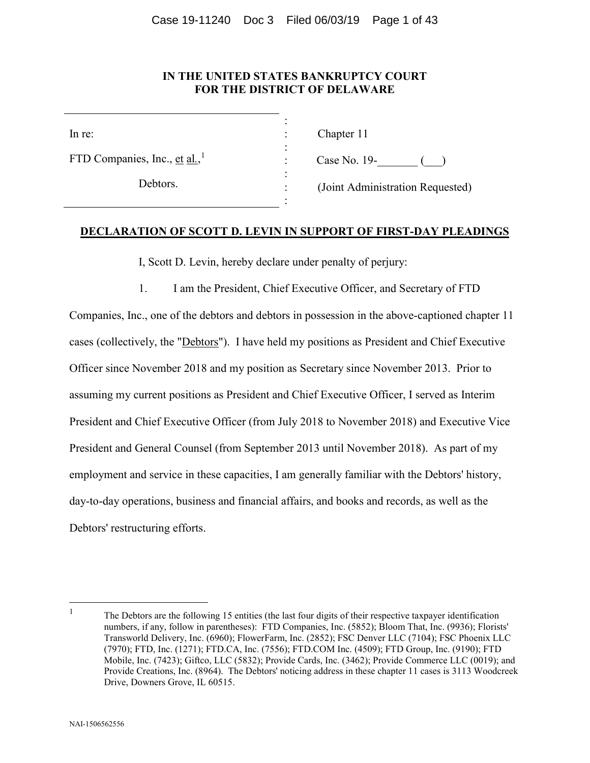# **IN THE UNITED STATES BANKRUPTCY COURT FOR THE DISTRICT OF DELAWARE**

: : : : : : :

FTD Companies, Inc., et al.,<sup>[1](#page-0-0)</sup>

Debtors.

Chapter 11

Case No. 19- ()

(Joint Administration Requested)

# **DECLARATION OF SCOTT D. LEVIN IN SUPPORT OF FIRST-DAY PLEADINGS**

I, Scott D. Levin, hereby declare under penalty of perjury:

1. I am the President, Chief Executive Officer, and Secretary of FTD

Companies, Inc., one of the debtors and debtors in possession in the above-captioned chapter 11 cases (collectively, the "Debtors"). I have held my positions as President and Chief Executive Officer since November 2018 and my position as Secretary since November 2013. Prior to assuming my current positions as President and Chief Executive Officer, I served as Interim President and Chief Executive Officer (from July 2018 to November 2018) and Executive Vice President and General Counsel (from September 2013 until November 2018). As part of my employment and service in these capacities, I am generally familiar with the Debtors' history, day-to-day operations, business and financial affairs, and books and records, as well as the Debtors' restructuring efforts.

<span id="page-0-0"></span>

<sup>&</sup>lt;sup>1</sup> The Debtors are the following 15 entities (the last four digits of their respective taxpayer identification numbers, if any, follow in parentheses): FTD Companies, Inc. (5852); Bloom That, Inc. (9936); Florists' Transworld Delivery, Inc. (6960); FlowerFarm, Inc. (2852); FSC Denver LLC (7104); FSC Phoenix LLC (7970); FTD, Inc. (1271); FTD.CA, Inc. (7556); FTD.COM Inc. (4509); FTD Group, Inc. (9190); FTD Mobile, Inc. (7423); Giftco, LLC (5832); Provide Cards, Inc. (3462); Provide Commerce LLC (0019); and Provide Creations, Inc. (8964). The Debtors' noticing address in these chapter 11 cases is 3113 Woodcreek Drive, Downers Grove, IL 60515.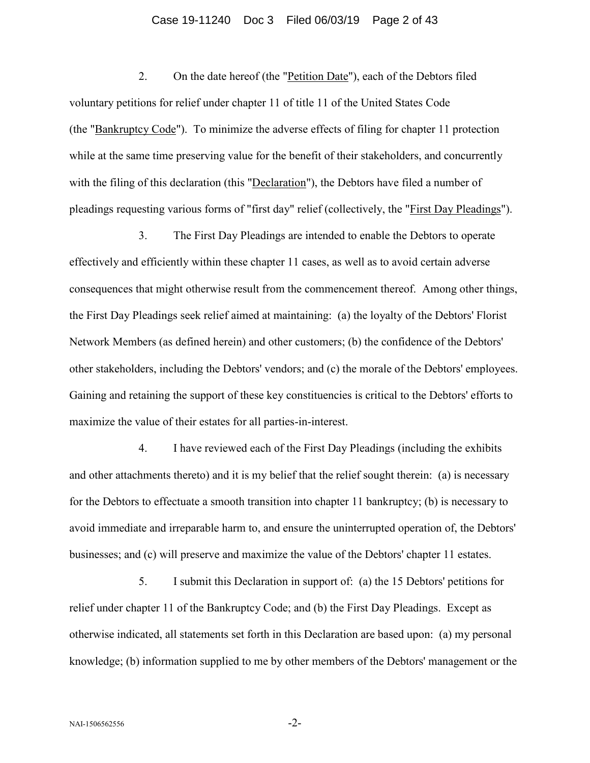#### Case 19-11240 Doc 3 Filed 06/03/19 Page 2 of 43

2. On the date hereof (the "Petition Date"), each of the Debtors filed voluntary petitions for relief under chapter 11 of title 11 of the United States Code (the "Bankruptcy Code"). To minimize the adverse effects of filing for chapter 11 protection while at the same time preserving value for the benefit of their stakeholders, and concurrently with the filing of this declaration (this "Declaration"), the Debtors have filed a number of pleadings requesting various forms of "first day" relief (collectively, the "First Day Pleadings").

3. The First Day Pleadings are intended to enable the Debtors to operate effectively and efficiently within these chapter 11 cases, as well as to avoid certain adverse consequences that might otherwise result from the commencement thereof. Among other things, the First Day Pleadings seek relief aimed at maintaining: (a) the loyalty of the Debtors' Florist Network Members (as defined herein) and other customers; (b) the confidence of the Debtors' other stakeholders, including the Debtors' vendors; and (c) the morale of the Debtors' employees. Gaining and retaining the support of these key constituencies is critical to the Debtors' efforts to maximize the value of their estates for all parties-in-interest.

4. I have reviewed each of the First Day Pleadings (including the exhibits and other attachments thereto) and it is my belief that the relief sought therein: (a) is necessary for the Debtors to effectuate a smooth transition into chapter 11 bankruptcy; (b) is necessary to avoid immediate and irreparable harm to, and ensure the uninterrupted operation of, the Debtors' businesses; and (c) will preserve and maximize the value of the Debtors' chapter 11 estates.

5. I submit this Declaration in support of: (a) the 15 Debtors' petitions for relief under chapter 11 of the Bankruptcy Code; and (b) the First Day Pleadings. Except as otherwise indicated, all statements set forth in this Declaration are based upon: (a) my personal knowledge; (b) information supplied to me by other members of the Debtors' management or the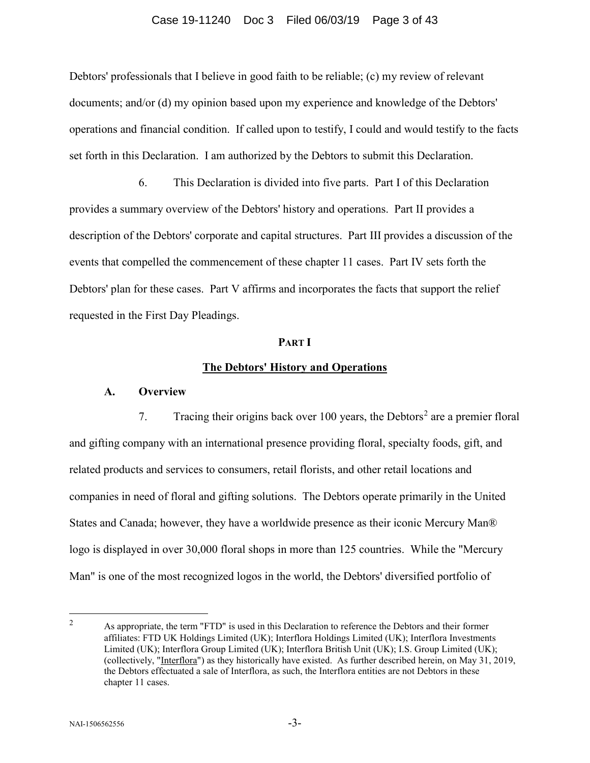#### Case 19-11240 Doc 3 Filed 06/03/19 Page 3 of 43

Debtors' professionals that I believe in good faith to be reliable; (c) my review of relevant documents; and/or (d) my opinion based upon my experience and knowledge of the Debtors' operations and financial condition. If called upon to testify, I could and would testify to the facts set forth in this Declaration. I am authorized by the Debtors to submit this Declaration.

6. This Declaration is divided into five parts. Part I of this Declaration provides a summary overview of the Debtors' history and operations. Part II provides a description of the Debtors' corporate and capital structures. Part III provides a discussion of the events that compelled the commencement of these chapter 11 cases. Part IV sets forth the Debtors' plan for these cases. Part V affirms and incorporates the facts that support the relief requested in the First Day Pleadings.

#### **PART I**

### **The Debtors' History and Operations**

#### **A. Overview**

7. Tracing their origins back over 100 years, the Debtors<sup>[2](#page-2-0)</sup> are a premier floral and gifting company with an international presence providing floral, specialty foods, gift, and related products and services to consumers, retail florists, and other retail locations and companies in need of floral and gifting solutions. The Debtors operate primarily in the United States and Canada; however, they have a worldwide presence as their iconic Mercury Man® logo is displayed in over 30,000 floral shops in more than 125 countries. While the "Mercury Man" is one of the most recognized logos in the world, the Debtors' diversified portfolio of

<span id="page-2-0"></span><sup>&</sup>lt;sup>2</sup> As appropriate, the term "FTD" is used in this Declaration to reference the Debtors and their former affiliates: FTD UK Holdings Limited (UK); Interflora Holdings Limited (UK); Interflora Investments Limited (UK); Interflora Group Limited (UK); Interflora British Unit (UK); I.S. Group Limited (UK); (collectively, "Interflora") as they historically have existed. As further described herein, on May 31, 2019, the Debtors effectuated a sale of Interflora, as such, the Interflora entities are not Debtors in these chapter 11 cases.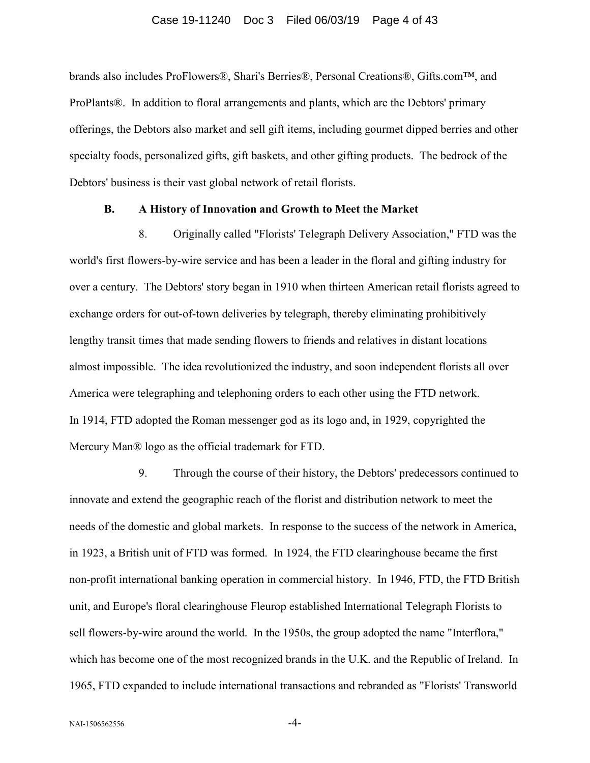#### Case 19-11240 Doc 3 Filed 06/03/19 Page 4 of 43

brands also includes ProFlowers®, Shari's Berries®, Personal Creations®, Gifts.com™, and ProPlants®. In addition to floral arrangements and plants, which are the Debtors' primary offerings, the Debtors also market and sell gift items, including gourmet dipped berries and other specialty foods, personalized gifts, gift baskets, and other gifting products. The bedrock of the Debtors' business is their vast global network of retail florists.

## **B. A History of Innovation and Growth to Meet the Market**

8. Originally called "Florists' Telegraph Delivery Association," FTD was the world's first flowers-by-wire service and has been a leader in the floral and gifting industry for over a century. The Debtors' story began in 1910 when thirteen American retail florists agreed to exchange orders for out-of-town deliveries by telegraph, thereby eliminating prohibitively lengthy transit times that made sending flowers to friends and relatives in distant locations almost impossible. The idea revolutionized the industry, and soon independent florists all over America were telegraphing and telephoning orders to each other using the FTD network. In 1914, FTD adopted the Roman messenger god as its logo and, in 1929, copyrighted the Mercury Man® logo as the official trademark for FTD.

9. Through the course of their history, the Debtors' predecessors continued to innovate and extend the geographic reach of the florist and distribution network to meet the needs of the domestic and global markets. In response to the success of the network in America, in 1923, a British unit of FTD was formed. In 1924, the FTD clearinghouse became the first non-profit international banking operation in commercial history. In 1946, FTD, the FTD British unit, and Europe's floral clearinghouse Fleurop established International Telegraph Florists to sell flowers-by-wire around the world. In the 1950s, the group adopted the name "Interflora," which has become one of the most recognized brands in the U.K. and the Republic of Ireland. In 1965, FTD expanded to include international transactions and rebranded as "Florists' Transworld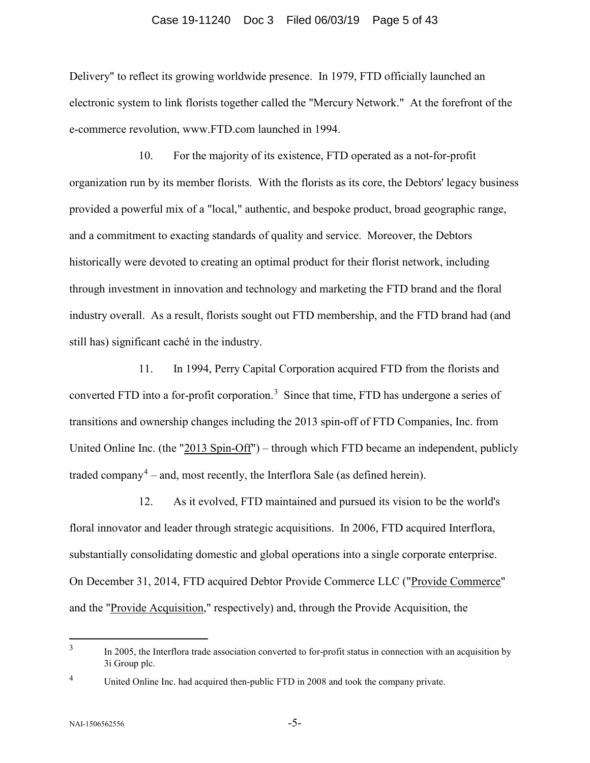#### Case 19-11240 Doc 3 Filed 06/03/19 Page 5 of 43

Delivery" to reflect its growing worldwide presence. In 1979, FTD officially launched an electronic system to link florists together called the "Mercury Network." At the forefront of the e-commerce revolution, www.FTD.com launched in 1994.

10. For the majority of its existence, FTD operated as a not-for-profit organization run by its member florists. With the florists as its core, the Debtors' legacy business provided a powerful mix of a "local," authentic, and bespoke product, broad geographic range, and a commitment to exacting standards of quality and service. Moreover, the Debtors historically were devoted to creating an optimal product for their florist network, including through investment in innovation and technology and marketing the FTD brand and the floral industry overall. As a result, florists sought out FTD membership, and the FTD brand had (and still has) significant caché in the industry.

11. In 1994, Perry Capital Corporation acquired FTD from the florists and converted FTD into a for-profit corporation.<sup>[3](#page-4-0)</sup> Since that time, FTD has undergone a series of transitions and ownership changes including the 2013 spin-off of FTD Companies, Inc. from United Online Inc. (the " $2013$  Spin-Off") – through which FTD became an independent, publicly traded company<sup>[4](#page-4-1)</sup> – and, most recently, the Interflora Sale (as defined herein).

12. As it evolved, FTD maintained and pursued its vision to be the world's floral innovator and leader through strategic acquisitions. In 2006, FTD acquired Interflora, substantially consolidating domestic and global operations into a single corporate enterprise. On December 31, 2014, FTD acquired Debtor Provide Commerce LLC ("Provide Commerce" and the "Provide Acquisition," respectively) and, through the Provide Acquisition, the

<span id="page-4-0"></span><sup>&</sup>lt;sup>3</sup> In 2005, the Interflora trade association converted to for-profit status in connection with an acquisition by 3i Group plc.

<span id="page-4-1"></span><sup>&</sup>lt;sup>4</sup> United Online Inc. had acquired then-public FTD in 2008 and took the company private.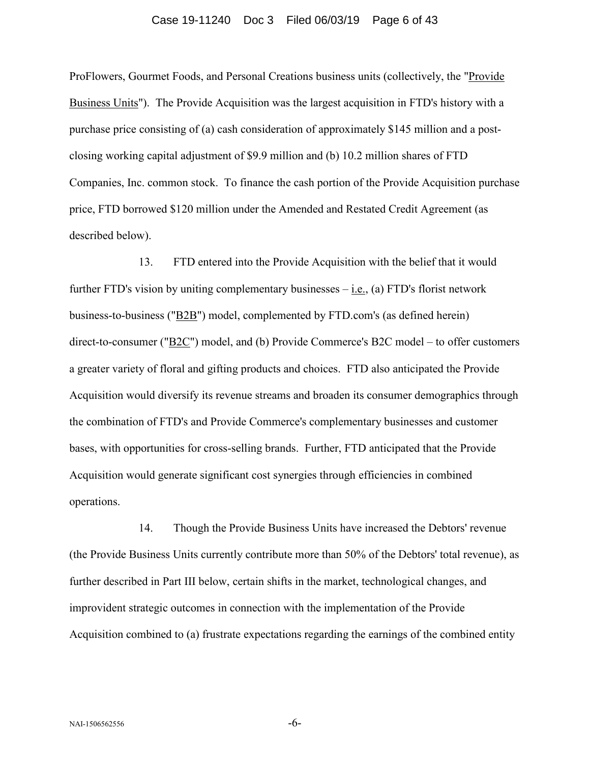# Case 19-11240 Doc 3 Filed 06/03/19 Page 6 of 43

ProFlowers, Gourmet Foods, and Personal Creations business units (collectively, the "Provide Business Units"). The Provide Acquisition was the largest acquisition in FTD's history with a purchase price consisting of (a) cash consideration of approximately \$145 million and a postclosing working capital adjustment of \$9.9 million and (b) 10.2 million shares of FTD Companies, Inc. common stock. To finance the cash portion of the Provide Acquisition purchase price, FTD borrowed \$120 million under the Amended and Restated Credit Agreement (as described below).

13. FTD entered into the Provide Acquisition with the belief that it would further FTD's vision by uniting complementary businesses  $-\underline{\text{i.e.}}$ , (a) FTD's florist network business-to-business ("B2B") model, complemented by FTD.com's (as defined herein) direct-to-consumer ("B2C") model, and (b) Provide Commerce's B2C model – to offer customers a greater variety of floral and gifting products and choices. FTD also anticipated the Provide Acquisition would diversify its revenue streams and broaden its consumer demographics through the combination of FTD's and Provide Commerce's complementary businesses and customer bases, with opportunities for cross-selling brands. Further, FTD anticipated that the Provide Acquisition would generate significant cost synergies through efficiencies in combined operations.

14. Though the Provide Business Units have increased the Debtors' revenue (the Provide Business Units currently contribute more than 50% of the Debtors' total revenue), as further described in Part III below, certain shifts in the market, technological changes, and improvident strategic outcomes in connection with the implementation of the Provide Acquisition combined to (a) frustrate expectations regarding the earnings of the combined entity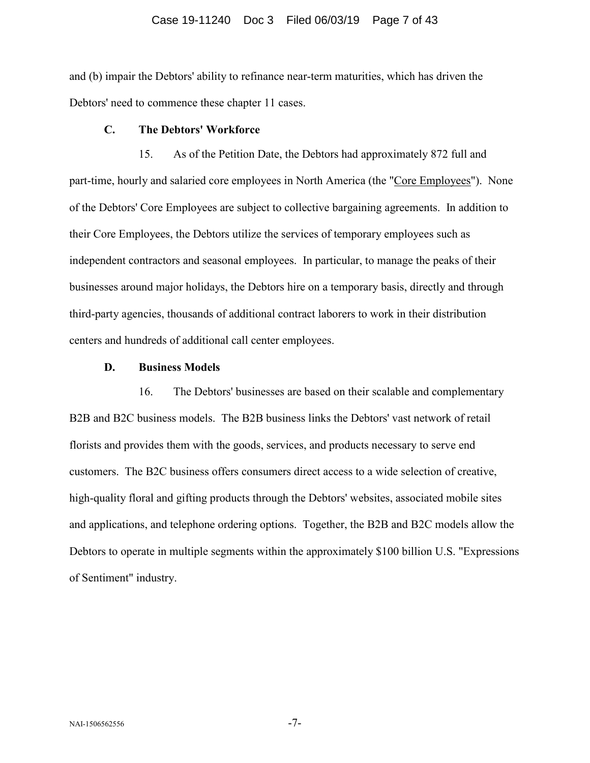#### Case 19-11240 Doc 3 Filed 06/03/19 Page 7 of 43

and (b) impair the Debtors' ability to refinance near-term maturities, which has driven the Debtors' need to commence these chapter 11 cases.

# **C. The Debtors' Workforce**

15. As of the Petition Date, the Debtors had approximately 872 full and part-time, hourly and salaried core employees in North America (the "Core Employees"). None of the Debtors' Core Employees are subject to collective bargaining agreements. In addition to their Core Employees, the Debtors utilize the services of temporary employees such as independent contractors and seasonal employees. In particular, to manage the peaks of their businesses around major holidays, the Debtors hire on a temporary basis, directly and through third-party agencies, thousands of additional contract laborers to work in their distribution centers and hundreds of additional call center employees.

# **D. Business Models**

16. The Debtors' businesses are based on their scalable and complementary B2B and B2C business models. The B2B business links the Debtors' vast network of retail florists and provides them with the goods, services, and products necessary to serve end customers. The B2C business offers consumers direct access to a wide selection of creative, high-quality floral and gifting products through the Debtors' websites, associated mobile sites and applications, and telephone ordering options. Together, the B2B and B2C models allow the Debtors to operate in multiple segments within the approximately \$100 billion U.S. "Expressions of Sentiment" industry.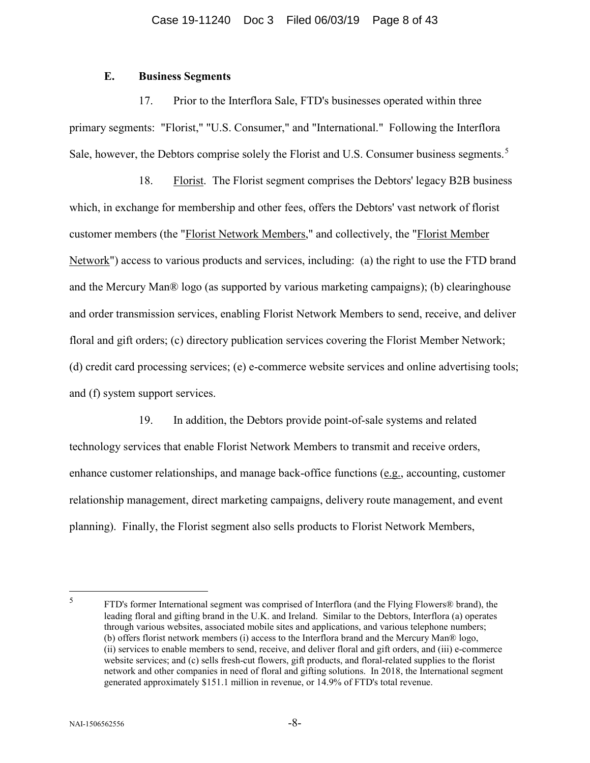# **E. Business Segments**

17. Prior to the Interflora Sale, FTD's businesses operated within three primary segments: "Florist," "U.S. Consumer," and "International." Following the Interflora Sale, however, the Debtors comprise solely the Florist and U.S. Consumer business segments.<sup>[5](#page-7-0)</sup>

18. Florist. The Florist segment comprises the Debtors' legacy B2B business which, in exchange for membership and other fees, offers the Debtors' vast network of florist customer members (the "Florist Network Members," and collectively, the "Florist Member Network") access to various products and services, including: (a) the right to use the FTD brand and the Mercury Man® logo (as supported by various marketing campaigns); (b) clearinghouse and order transmission services, enabling Florist Network Members to send, receive, and deliver floral and gift orders; (c) directory publication services covering the Florist Member Network; (d) credit card processing services; (e) e-commerce website services and online advertising tools; and (f) system support services.

19. In addition, the Debtors provide point-of-sale systems and related technology services that enable Florist Network Members to transmit and receive orders, enhance customer relationships, and manage back-office functions (e.g., accounting, customer relationship management, direct marketing campaigns, delivery route management, and event planning). Finally, the Florist segment also sells products to Florist Network Members,

<span id="page-7-0"></span> <sup>5</sup> FTD's former International segment was comprised of Interflora (and the Flying Flowers® brand), the leading floral and gifting brand in the U.K. and Ireland. Similar to the Debtors, Interflora (a) operates through various websites, associated mobile sites and applications, and various telephone numbers; (b) offers florist network members (i) access to the Interflora brand and the Mercury Man® logo, (ii) services to enable members to send, receive, and deliver floral and gift orders, and (iii) e-commerce website services; and (c) sells fresh-cut flowers, gift products, and floral-related supplies to the florist network and other companies in need of floral and gifting solutions. In 2018, the International segment generated approximately \$151.1 million in revenue, or 14.9% of FTD's total revenue.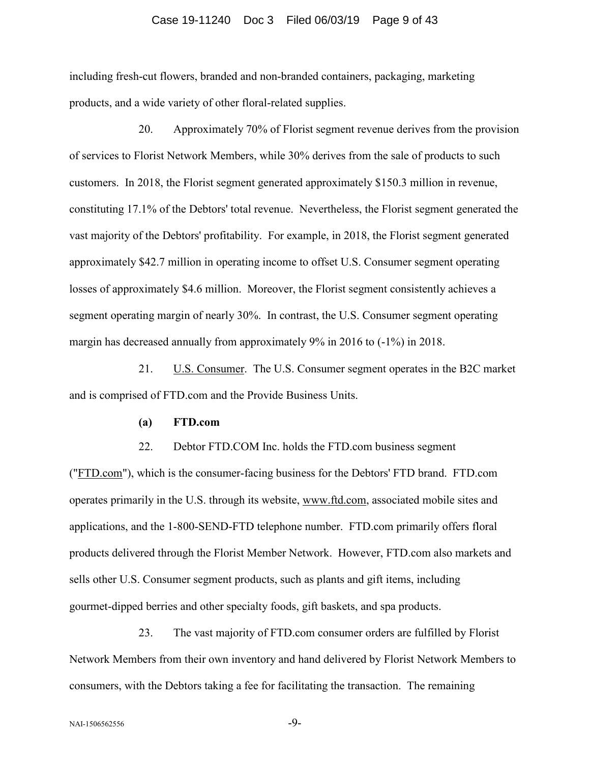#### Case 19-11240 Doc 3 Filed 06/03/19 Page 9 of 43

including fresh-cut flowers, branded and non-branded containers, packaging, marketing products, and a wide variety of other floral-related supplies.

20. Approximately 70% of Florist segment revenue derives from the provision of services to Florist Network Members, while 30% derives from the sale of products to such customers. In 2018, the Florist segment generated approximately \$150.3 million in revenue, constituting 17.1% of the Debtors' total revenue. Nevertheless, the Florist segment generated the vast majority of the Debtors' profitability. For example, in 2018, the Florist segment generated approximately \$42.7 million in operating income to offset U.S. Consumer segment operating losses of approximately \$4.6 million. Moreover, the Florist segment consistently achieves a segment operating margin of nearly 30%. In contrast, the U.S. Consumer segment operating margin has decreased annually from approximately 9% in 2016 to (-1%) in 2018.

21. U.S. Consumer. The U.S. Consumer segment operates in the B2C market and is comprised of FTD.com and the Provide Business Units.

## **(a) FTD.com**

22. Debtor FTD.COM Inc. holds the FTD.com business segment ("FTD.com"), which is the consumer-facing business for the Debtors' FTD brand. FTD.com operates primarily in the U.S. through its website, www.ftd.com, associated mobile sites and applications, and the 1-800-SEND-FTD telephone number. FTD.com primarily offers floral products delivered through the Florist Member Network. However, FTD.com also markets and sells other U.S. Consumer segment products, such as plants and gift items, including gourmet-dipped berries and other specialty foods, gift baskets, and spa products.

23. The vast majority of FTD.com consumer orders are fulfilled by Florist Network Members from their own inventory and hand delivered by Florist Network Members to consumers, with the Debtors taking a fee for facilitating the transaction. The remaining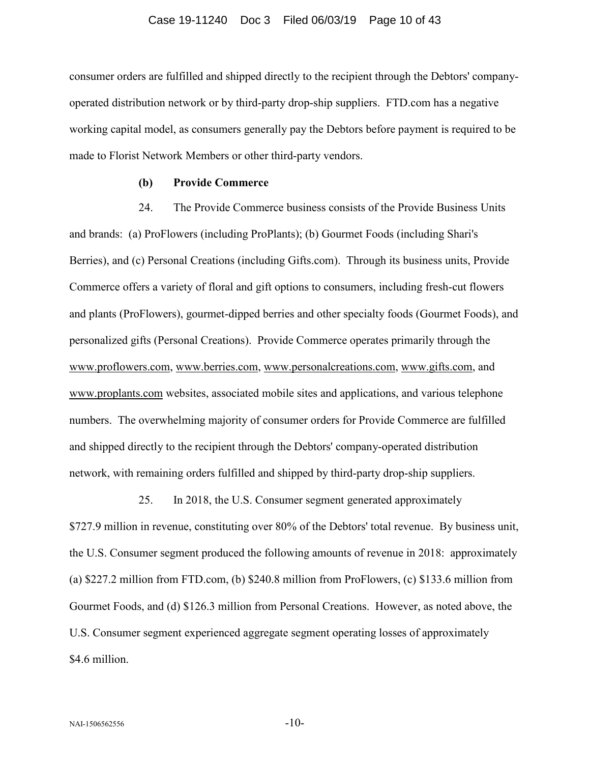consumer orders are fulfilled and shipped directly to the recipient through the Debtors' companyoperated distribution network or by third-party drop-ship suppliers. FTD.com has a negative working capital model, as consumers generally pay the Debtors before payment is required to be made to Florist Network Members or other third-party vendors.

# **(b) Provide Commerce**

24. The Provide Commerce business consists of the Provide Business Units and brands: (a) ProFlowers (including ProPlants); (b) Gourmet Foods (including Shari's Berries), and (c) Personal Creations (including Gifts.com). Through its business units, Provide Commerce offers a variety of floral and gift options to consumers, including fresh-cut flowers and plants (ProFlowers), gourmet-dipped berries and other specialty foods (Gourmet Foods), and personalized gifts (Personal Creations). Provide Commerce operates primarily through the www.proflowers.com, www.berries.com, www.personalcreations.com, www.gifts.com, and www.proplants.com websites, associated mobile sites and applications, and various telephone numbers. The overwhelming majority of consumer orders for Provide Commerce are fulfilled and shipped directly to the recipient through the Debtors' company-operated distribution network, with remaining orders fulfilled and shipped by third-party drop-ship suppliers.

25. In 2018, the U.S. Consumer segment generated approximately \$727.9 million in revenue, constituting over 80% of the Debtors' total revenue. By business unit, the U.S. Consumer segment produced the following amounts of revenue in 2018: approximately (a) \$227.2 million from FTD.com, (b) \$240.8 million from ProFlowers, (c) \$133.6 million from Gourmet Foods, and (d) \$126.3 million from Personal Creations. However, as noted above, the U.S. Consumer segment experienced aggregate segment operating losses of approximately \$4.6 million.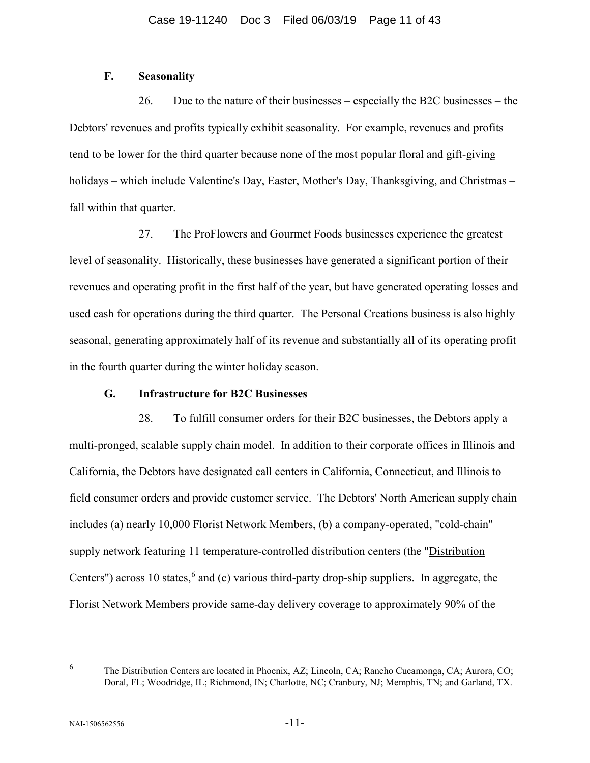# **F. Seasonality**

26. Due to the nature of their businesses – especially the B2C businesses – the Debtors' revenues and profits typically exhibit seasonality. For example, revenues and profits tend to be lower for the third quarter because none of the most popular floral and gift-giving holidays – which include Valentine's Day, Easter, Mother's Day, Thanksgiving, and Christmas – fall within that quarter.

27. The ProFlowers and Gourmet Foods businesses experience the greatest level of seasonality. Historically, these businesses have generated a significant portion of their revenues and operating profit in the first half of the year, but have generated operating losses and used cash for operations during the third quarter. The Personal Creations business is also highly seasonal, generating approximately half of its revenue and substantially all of its operating profit in the fourth quarter during the winter holiday season.

# **G. Infrastructure for B2C Businesses**

28. To fulfill consumer orders for their B2C businesses, the Debtors apply a multi-pronged, scalable supply chain model. In addition to their corporate offices in Illinois and California, the Debtors have designated call centers in California, Connecticut, and Illinois to field consumer orders and provide customer service. The Debtors' North American supply chain includes (a) nearly 10,000 Florist Network Members, (b) a company-operated, "cold-chain" supply network featuring 11 temperature-controlled distribution centers (the "Distribution Centers") across 10 states,<sup>[6](#page-10-0)</sup> and (c) various third-party drop-ship suppliers. In aggregate, the Florist Network Members provide same-day delivery coverage to approximately 90% of the

<span id="page-10-0"></span> <sup>6</sup> The Distribution Centers are located in Phoenix, AZ; Lincoln, CA; Rancho Cucamonga, CA; Aurora, CO; Doral, FL; Woodridge, IL; Richmond, IN; Charlotte, NC; Cranbury, NJ; Memphis, TN; and Garland, TX.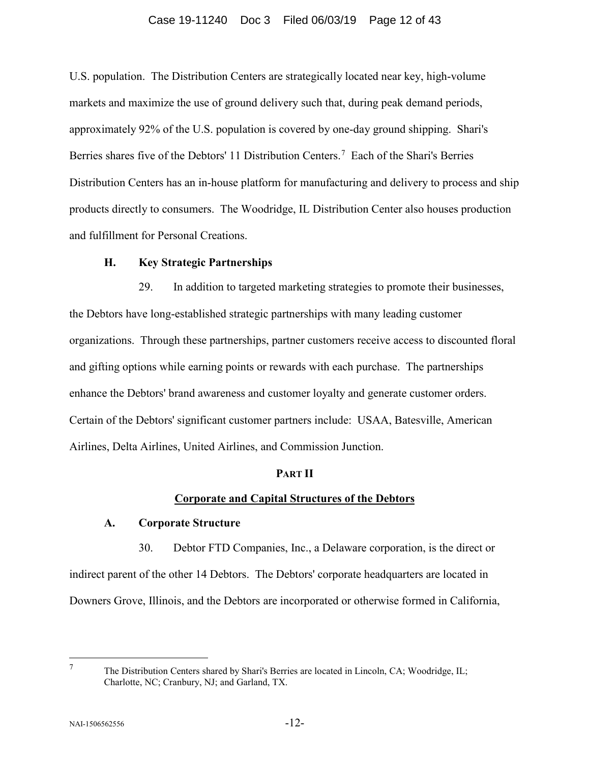## Case 19-11240 Doc 3 Filed 06/03/19 Page 12 of 43

U.S. population. The Distribution Centers are strategically located near key, high-volume markets and maximize the use of ground delivery such that, during peak demand periods, approximately 92% of the U.S. population is covered by one-day ground shipping. Shari's Berries shares five of the Debtors' 11 Distribution Centers.<sup>[7](#page-11-0)</sup> Each of the Shari's Berries Distribution Centers has an in-house platform for manufacturing and delivery to process and ship products directly to consumers. The Woodridge, IL Distribution Center also houses production and fulfillment for Personal Creations.

## **H. Key Strategic Partnerships**

29. In addition to targeted marketing strategies to promote their businesses, the Debtors have long-established strategic partnerships with many leading customer organizations. Through these partnerships, partner customers receive access to discounted floral and gifting options while earning points or rewards with each purchase. The partnerships enhance the Debtors' brand awareness and customer loyalty and generate customer orders. Certain of the Debtors' significant customer partners include: USAA, Batesville, American Airlines, Delta Airlines, United Airlines, and Commission Junction.

# **PART II**

# **Corporate and Capital Structures of the Debtors**

## **A. Corporate Structure**

30. Debtor FTD Companies, Inc., a Delaware corporation, is the direct or indirect parent of the other 14 Debtors. The Debtors' corporate headquarters are located in Downers Grove, Illinois, and the Debtors are incorporated or otherwise formed in California,

<span id="page-11-0"></span>

 <sup>7</sup> The Distribution Centers shared by Shari's Berries are located in Lincoln, CA; Woodridge, IL; Charlotte, NC; Cranbury, NJ; and Garland, TX.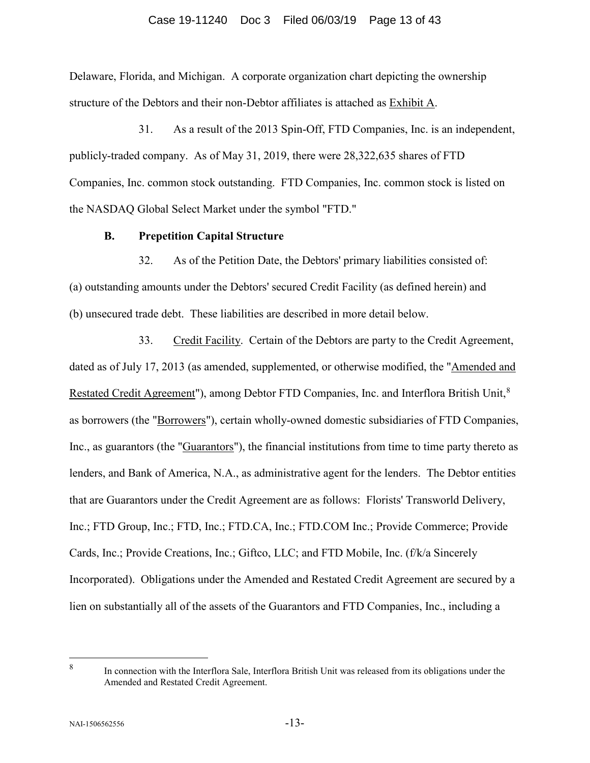## Case 19-11240 Doc 3 Filed 06/03/19 Page 13 of 43

Delaware, Florida, and Michigan. A corporate organization chart depicting the ownership structure of the Debtors and their non-Debtor affiliates is attached as Exhibit A.

31. As a result of the 2013 Spin-Off, FTD Companies, Inc. is an independent, publicly-traded company. As of May 31, 2019, there were 28,322,635 shares of FTD Companies, Inc. common stock outstanding. FTD Companies, Inc. common stock is listed on the NASDAQ Global Select Market under the symbol "FTD."

### **B. Prepetition Capital Structure**

32. As of the Petition Date, the Debtors' primary liabilities consisted of: (a) outstanding amounts under the Debtors' secured Credit Facility (as defined herein) and (b) unsecured trade debt. These liabilities are described in more detail below.

33. Credit Facility. Certain of the Debtors are party to the Credit Agreement, dated as of July 17, 2013 (as amended, supplemented, or otherwise modified, the "Amended and Restated Credit Agreement"), among Debtor FTD Companies, Inc. and Interflora British Unit,<sup>[8](#page-12-0)</sup> as borrowers (the "Borrowers"), certain wholly-owned domestic subsidiaries of FTD Companies, Inc., as guarantors (the "Guarantors"), the financial institutions from time to time party thereto as lenders, and Bank of America, N.A., as administrative agent for the lenders. The Debtor entities that are Guarantors under the Credit Agreement are as follows: Florists' Transworld Delivery, Inc.; FTD Group, Inc.; FTD, Inc.; FTD.CA, Inc.; FTD.COM Inc.; Provide Commerce; Provide Cards, Inc.; Provide Creations, Inc.; Giftco, LLC; and FTD Mobile, Inc. (f/k/a Sincerely Incorporated). Obligations under the Amended and Restated Credit Agreement are secured by a lien on substantially all of the assets of the Guarantors and FTD Companies, Inc., including a

<span id="page-12-0"></span> <sup>8</sup> In connection with the Interflora Sale, Interflora British Unit was released from its obligations under the Amended and Restated Credit Agreement.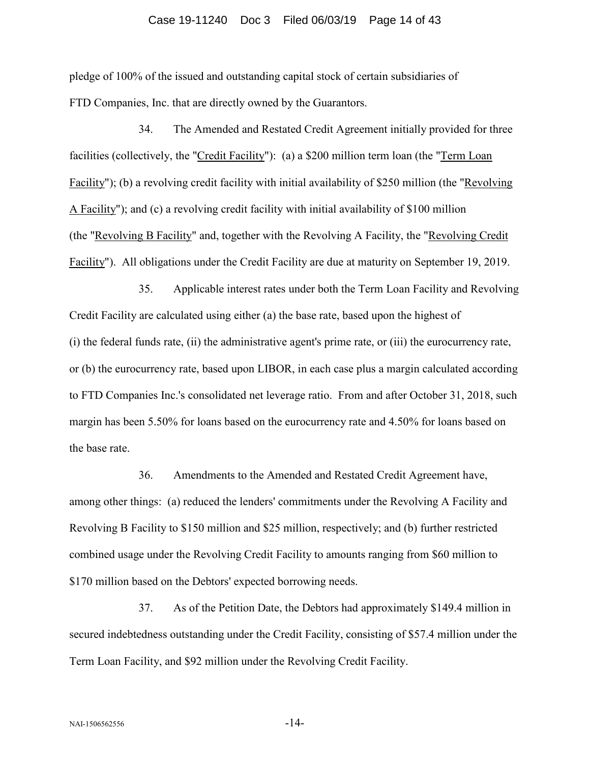# Case 19-11240 Doc 3 Filed 06/03/19 Page 14 of 43

pledge of 100% of the issued and outstanding capital stock of certain subsidiaries of FTD Companies, Inc. that are directly owned by the Guarantors.

34. The Amended and Restated Credit Agreement initially provided for three facilities (collectively, the "Credit Facility"): (a) a \$200 million term loan (the "Term Loan Facility"); (b) a revolving credit facility with initial availability of \$250 million (the "Revolving A Facility"); and (c) a revolving credit facility with initial availability of \$100 million (the "Revolving B Facility" and, together with the Revolving A Facility, the "Revolving Credit Facility"). All obligations under the Credit Facility are due at maturity on September 19, 2019.

35. Applicable interest rates under both the Term Loan Facility and Revolving Credit Facility are calculated using either (a) the base rate, based upon the highest of (i) the federal funds rate, (ii) the administrative agent's prime rate, or (iii) the eurocurrency rate, or (b) the eurocurrency rate, based upon LIBOR, in each case plus a margin calculated according to FTD Companies Inc.'s consolidated net leverage ratio. From and after October 31, 2018, such margin has been 5.50% for loans based on the eurocurrency rate and 4.50% for loans based on the base rate.

36. Amendments to the Amended and Restated Credit Agreement have, among other things: (a) reduced the lenders' commitments under the Revolving A Facility and Revolving B Facility to \$150 million and \$25 million, respectively; and (b) further restricted combined usage under the Revolving Credit Facility to amounts ranging from \$60 million to \$170 million based on the Debtors' expected borrowing needs.

37. As of the Petition Date, the Debtors had approximately \$149.4 million in secured indebtedness outstanding under the Credit Facility, consisting of \$57.4 million under the Term Loan Facility, and \$92 million under the Revolving Credit Facility.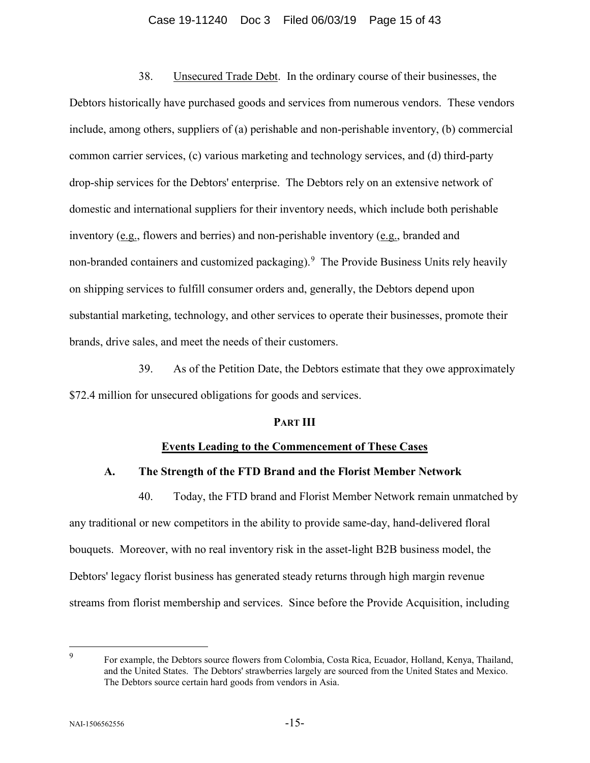#### Case 19-11240 Doc 3 Filed 06/03/19 Page 15 of 43

38. Unsecured Trade Debt. In the ordinary course of their businesses, the Debtors historically have purchased goods and services from numerous vendors. These vendors include, among others, suppliers of (a) perishable and non-perishable inventory, (b) commercial common carrier services, (c) various marketing and technology services, and (d) third-party drop-ship services for the Debtors' enterprise. The Debtors rely on an extensive network of domestic and international suppliers for their inventory needs, which include both perishable inventory (e.g., flowers and berries) and non-perishable inventory (e.g., branded and non-branded containers and customized packaging). <sup>[9](#page-14-0)</sup> The Provide Business Units rely heavily on shipping services to fulfill consumer orders and, generally, the Debtors depend upon substantial marketing, technology, and other services to operate their businesses, promote their brands, drive sales, and meet the needs of their customers.

39. As of the Petition Date, the Debtors estimate that they owe approximately \$72.4 million for unsecured obligations for goods and services.

## **PART III**

# **Events Leading to the Commencement of These Cases**

# **A. The Strength of the FTD Brand and the Florist Member Network**

40. Today, the FTD brand and Florist Member Network remain unmatched by any traditional or new competitors in the ability to provide same-day, hand-delivered floral bouquets. Moreover, with no real inventory risk in the asset-light B2B business model, the Debtors' legacy florist business has generated steady returns through high margin revenue streams from florist membership and services. Since before the Provide Acquisition, including

<span id="page-14-0"></span> <sup>9</sup> For example, the Debtors source flowers from Colombia, Costa Rica, Ecuador, Holland, Kenya, Thailand, and the United States. The Debtors' strawberries largely are sourced from the United States and Mexico. The Debtors source certain hard goods from vendors in Asia.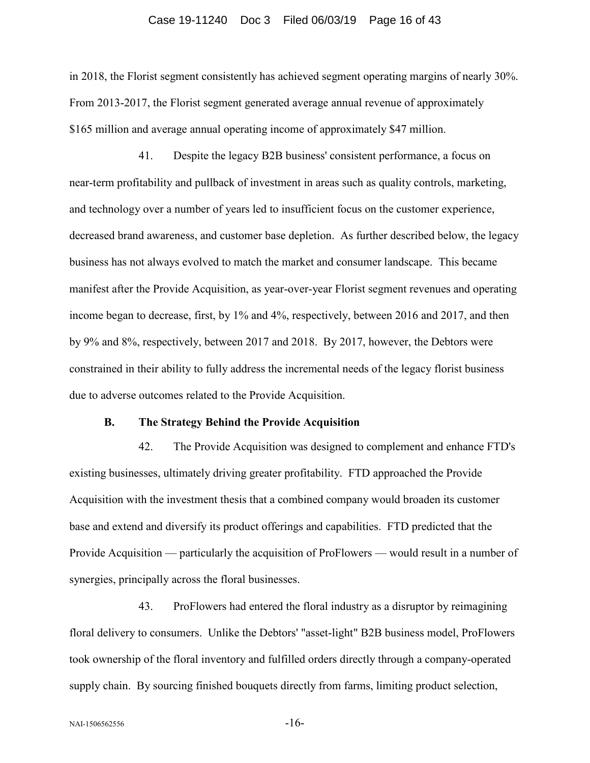#### Case 19-11240 Doc 3 Filed 06/03/19 Page 16 of 43

in 2018, the Florist segment consistently has achieved segment operating margins of nearly 30%. From 2013-2017, the Florist segment generated average annual revenue of approximately \$165 million and average annual operating income of approximately \$47 million.

41. Despite the legacy B2B business' consistent performance, a focus on near-term profitability and pullback of investment in areas such as quality controls, marketing, and technology over a number of years led to insufficient focus on the customer experience, decreased brand awareness, and customer base depletion. As further described below, the legacy business has not always evolved to match the market and consumer landscape. This became manifest after the Provide Acquisition, as year-over-year Florist segment revenues and operating income began to decrease, first, by 1% and 4%, respectively, between 2016 and 2017, and then by 9% and 8%, respectively, between 2017 and 2018. By 2017, however, the Debtors were constrained in their ability to fully address the incremental needs of the legacy florist business due to adverse outcomes related to the Provide Acquisition.

#### **B. The Strategy Behind the Provide Acquisition**

42. The Provide Acquisition was designed to complement and enhance FTD's existing businesses, ultimately driving greater profitability. FTD approached the Provide Acquisition with the investment thesis that a combined company would broaden its customer base and extend and diversify its product offerings and capabilities. FTD predicted that the Provide Acquisition — particularly the acquisition of ProFlowers — would result in a number of synergies, principally across the floral businesses.

43. ProFlowers had entered the floral industry as a disruptor by reimagining floral delivery to consumers. Unlike the Debtors' "asset-light" B2B business model, ProFlowers took ownership of the floral inventory and fulfilled orders directly through a company-operated supply chain. By sourcing finished bouquets directly from farms, limiting product selection,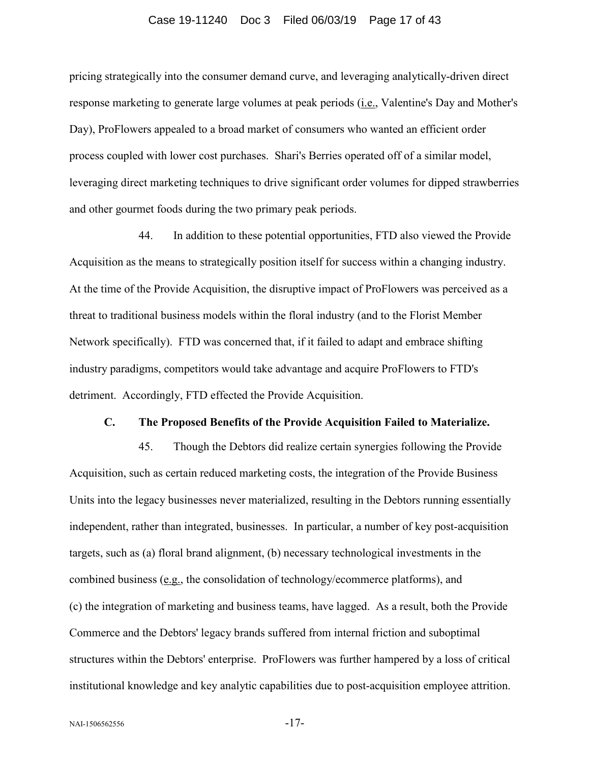# Case 19-11240 Doc 3 Filed 06/03/19 Page 17 of 43

pricing strategically into the consumer demand curve, and leveraging analytically-driven direct response marketing to generate large volumes at peak periods (i.e., Valentine's Day and Mother's Day), ProFlowers appealed to a broad market of consumers who wanted an efficient order process coupled with lower cost purchases. Shari's Berries operated off of a similar model, leveraging direct marketing techniques to drive significant order volumes for dipped strawberries and other gourmet foods during the two primary peak periods.

44. In addition to these potential opportunities, FTD also viewed the Provide Acquisition as the means to strategically position itself for success within a changing industry. At the time of the Provide Acquisition, the disruptive impact of ProFlowers was perceived as a threat to traditional business models within the floral industry (and to the Florist Member Network specifically). FTD was concerned that, if it failed to adapt and embrace shifting industry paradigms, competitors would take advantage and acquire ProFlowers to FTD's detriment. Accordingly, FTD effected the Provide Acquisition.

# **C. The Proposed Benefits of the Provide Acquisition Failed to Materialize.**

45. Though the Debtors did realize certain synergies following the Provide Acquisition, such as certain reduced marketing costs, the integration of the Provide Business Units into the legacy businesses never materialized, resulting in the Debtors running essentially independent, rather than integrated, businesses. In particular, a number of key post-acquisition targets, such as (a) floral brand alignment, (b) necessary technological investments in the combined business (e.g., the consolidation of technology/ecommerce platforms), and (c) the integration of marketing and business teams, have lagged. As a result, both the Provide Commerce and the Debtors' legacy brands suffered from internal friction and suboptimal structures within the Debtors' enterprise. ProFlowers was further hampered by a loss of critical institutional knowledge and key analytic capabilities due to post-acquisition employee attrition.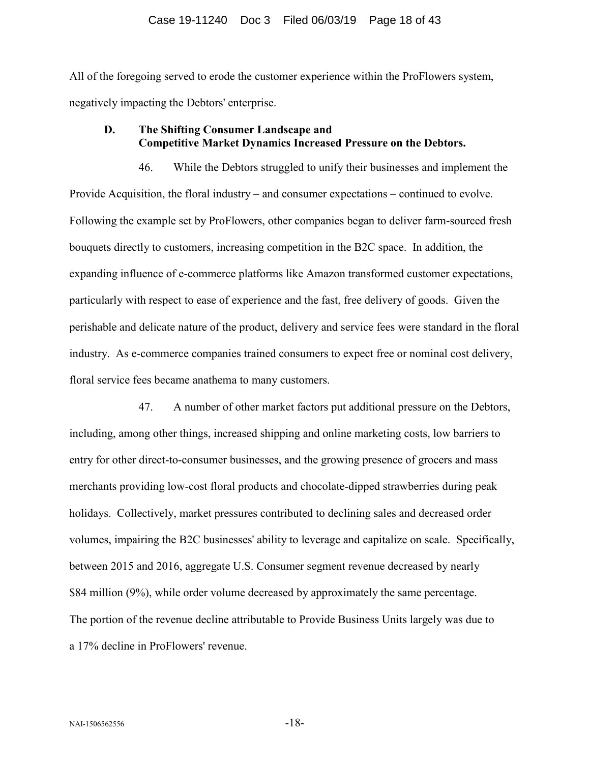All of the foregoing served to erode the customer experience within the ProFlowers system, negatively impacting the Debtors' enterprise.

# **D. The Shifting Consumer Landscape and Competitive Market Dynamics Increased Pressure on the Debtors.**

46. While the Debtors struggled to unify their businesses and implement the Provide Acquisition, the floral industry – and consumer expectations – continued to evolve. Following the example set by ProFlowers, other companies began to deliver farm-sourced fresh bouquets directly to customers, increasing competition in the B2C space. In addition, the expanding influence of e-commerce platforms like Amazon transformed customer expectations, particularly with respect to ease of experience and the fast, free delivery of goods. Given the perishable and delicate nature of the product, delivery and service fees were standard in the floral industry. As e-commerce companies trained consumers to expect free or nominal cost delivery, floral service fees became anathema to many customers.

47. A number of other market factors put additional pressure on the Debtors, including, among other things, increased shipping and online marketing costs, low barriers to entry for other direct-to-consumer businesses, and the growing presence of grocers and mass merchants providing low-cost floral products and chocolate-dipped strawberries during peak holidays. Collectively, market pressures contributed to declining sales and decreased order volumes, impairing the B2C businesses' ability to leverage and capitalize on scale. Specifically, between 2015 and 2016, aggregate U.S. Consumer segment revenue decreased by nearly \$84 million (9%), while order volume decreased by approximately the same percentage. The portion of the revenue decline attributable to Provide Business Units largely was due to a 17% decline in ProFlowers' revenue.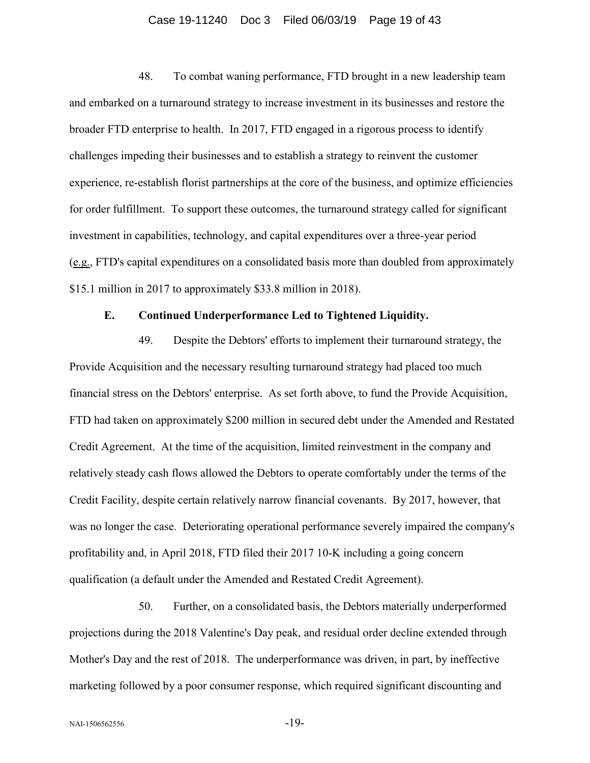#### Case 19-11240 Doc 3 Filed 06/03/19 Page 19 of 43

48. To combat waning performance, FTD brought in a new leadership team and embarked on a turnaround strategy to increase investment in its businesses and restore the broader FTD enterprise to health. In 2017, FTD engaged in a rigorous process to identify challenges impeding their businesses and to establish a strategy to reinvent the customer experience, re-establish florist partnerships at the core of the business, and optimize efficiencies for order fulfillment. To support these outcomes, the turnaround strategy called for significant investment in capabilities, technology, and capital expenditures over a three-year period (e.g., FTD's capital expenditures on a consolidated basis more than doubled from approximately \$15.1 million in 2017 to approximately \$33.8 million in 2018).

# **E. Continued Underperformance Led to Tightened Liquidity.**

49. Despite the Debtors' efforts to implement their turnaround strategy, the Provide Acquisition and the necessary resulting turnaround strategy had placed too much financial stress on the Debtors' enterprise. As set forth above, to fund the Provide Acquisition, FTD had taken on approximately \$200 million in secured debt under the Amended and Restated Credit Agreement. At the time of the acquisition, limited reinvestment in the company and relatively steady cash flows allowed the Debtors to operate comfortably under the terms of the Credit Facility, despite certain relatively narrow financial covenants. By 2017, however, that was no longer the case. Deteriorating operational performance severely impaired the company's profitability and, in April 2018, FTD filed their 2017 10-K including a going concern qualification (a default under the Amended and Restated Credit Agreement).

50. Further, on a consolidated basis, the Debtors materially underperformed projections during the 2018 Valentine's Day peak, and residual order decline extended through Mother's Day and the rest of 2018. The underperformance was driven, in part, by ineffective marketing followed by a poor consumer response, which required significant discounting and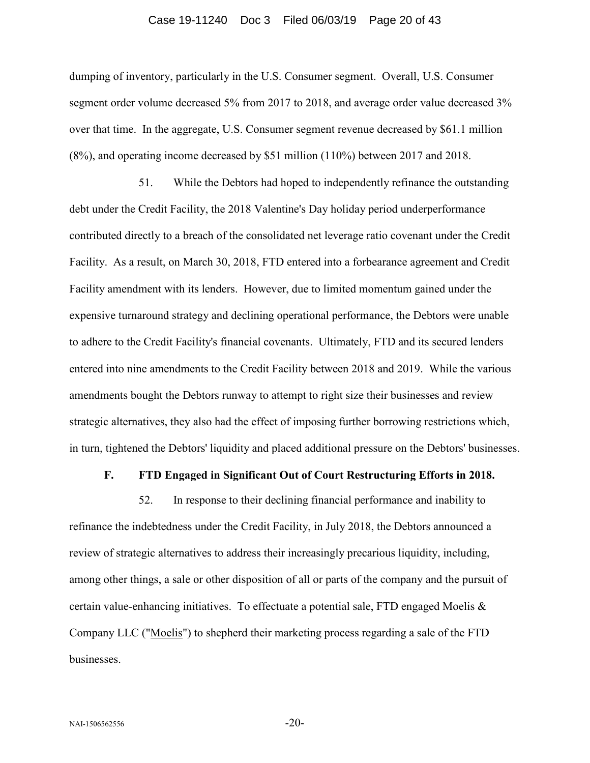#### Case 19-11240 Doc 3 Filed 06/03/19 Page 20 of 43

dumping of inventory, particularly in the U.S. Consumer segment. Overall, U.S. Consumer segment order volume decreased 5% from 2017 to 2018, and average order value decreased 3% over that time. In the aggregate, U.S. Consumer segment revenue decreased by \$61.1 million (8%), and operating income decreased by \$51 million (110%) between 2017 and 2018.

51. While the Debtors had hoped to independently refinance the outstanding debt under the Credit Facility, the 2018 Valentine's Day holiday period underperformance contributed directly to a breach of the consolidated net leverage ratio covenant under the Credit Facility. As a result, on March 30, 2018, FTD entered into a forbearance agreement and Credit Facility amendment with its lenders. However, due to limited momentum gained under the expensive turnaround strategy and declining operational performance, the Debtors were unable to adhere to the Credit Facility's financial covenants. Ultimately, FTD and its secured lenders entered into nine amendments to the Credit Facility between 2018 and 2019. While the various amendments bought the Debtors runway to attempt to right size their businesses and review strategic alternatives, they also had the effect of imposing further borrowing restrictions which, in turn, tightened the Debtors' liquidity and placed additional pressure on the Debtors' businesses.

# **F. FTD Engaged in Significant Out of Court Restructuring Efforts in 2018.**

52. In response to their declining financial performance and inability to refinance the indebtedness under the Credit Facility, in July 2018, the Debtors announced a review of strategic alternatives to address their increasingly precarious liquidity, including, among other things, a sale or other disposition of all or parts of the company and the pursuit of certain value-enhancing initiatives. To effectuate a potential sale, FTD engaged Moelis & Company LLC ("Moelis") to shepherd their marketing process regarding a sale of the FTD businesses.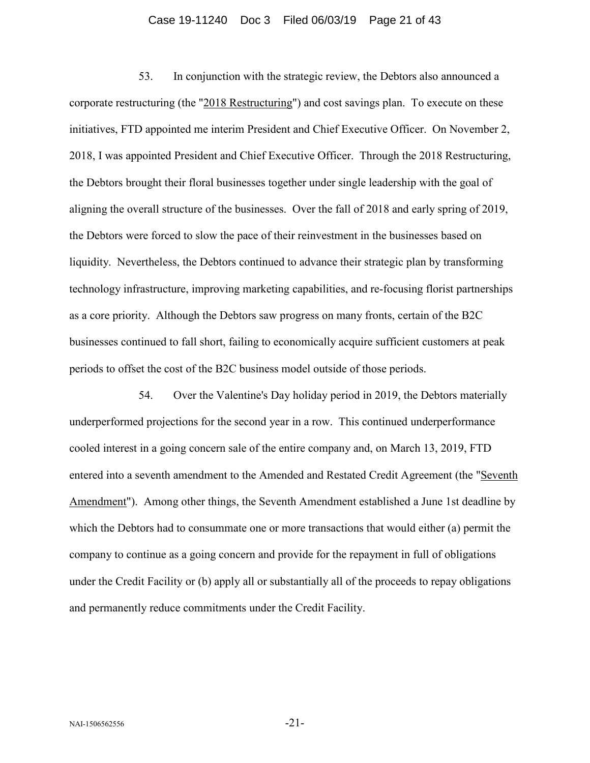#### Case 19-11240 Doc 3 Filed 06/03/19 Page 21 of 43

53. In conjunction with the strategic review, the Debtors also announced a corporate restructuring (the "2018 Restructuring") and cost savings plan. To execute on these initiatives, FTD appointed me interim President and Chief Executive Officer. On November 2, 2018, I was appointed President and Chief Executive Officer. Through the 2018 Restructuring, the Debtors brought their floral businesses together under single leadership with the goal of aligning the overall structure of the businesses. Over the fall of 2018 and early spring of 2019, the Debtors were forced to slow the pace of their reinvestment in the businesses based on liquidity. Nevertheless, the Debtors continued to advance their strategic plan by transforming technology infrastructure, improving marketing capabilities, and re-focusing florist partnerships as a core priority. Although the Debtors saw progress on many fronts, certain of the B2C businesses continued to fall short, failing to economically acquire sufficient customers at peak periods to offset the cost of the B2C business model outside of those periods.

54. Over the Valentine's Day holiday period in 2019, the Debtors materially underperformed projections for the second year in a row. This continued underperformance cooled interest in a going concern sale of the entire company and, on March 13, 2019, FTD entered into a seventh amendment to the Amended and Restated Credit Agreement (the "Seventh Amendment"). Among other things, the Seventh Amendment established a June 1st deadline by which the Debtors had to consummate one or more transactions that would either (a) permit the company to continue as a going concern and provide for the repayment in full of obligations under the Credit Facility or (b) apply all or substantially all of the proceeds to repay obligations and permanently reduce commitments under the Credit Facility.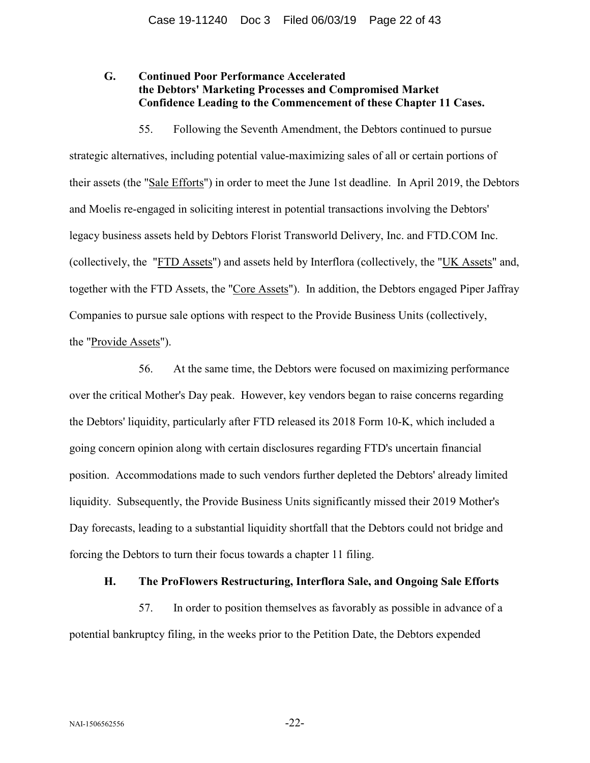# **G. Continued Poor Performance Accelerated the Debtors' Marketing Processes and Compromised Market Confidence Leading to the Commencement of these Chapter 11 Cases.**

55. Following the Seventh Amendment, the Debtors continued to pursue strategic alternatives, including potential value-maximizing sales of all or certain portions of their assets (the "Sale Efforts") in order to meet the June 1st deadline. In April 2019, the Debtors and Moelis re-engaged in soliciting interest in potential transactions involving the Debtors' legacy business assets held by Debtors Florist Transworld Delivery, Inc. and FTD.COM Inc. (collectively, the "FTD Assets") and assets held by Interflora (collectively, the "UK Assets" and, together with the FTD Assets, the "Core Assets"). In addition, the Debtors engaged Piper Jaffray Companies to pursue sale options with respect to the Provide Business Units (collectively, the "Provide Assets").

56. At the same time, the Debtors were focused on maximizing performance over the critical Mother's Day peak. However, key vendors began to raise concerns regarding the Debtors' liquidity, particularly after FTD released its 2018 Form 10-K, which included a going concern opinion along with certain disclosures regarding FTD's uncertain financial position. Accommodations made to such vendors further depleted the Debtors' already limited liquidity. Subsequently, the Provide Business Units significantly missed their 2019 Mother's Day forecasts, leading to a substantial liquidity shortfall that the Debtors could not bridge and forcing the Debtors to turn their focus towards a chapter 11 filing.

# **H. The ProFlowers Restructuring, Interflora Sale, and Ongoing Sale Efforts**

57. In order to position themselves as favorably as possible in advance of a potential bankruptcy filing, in the weeks prior to the Petition Date, the Debtors expended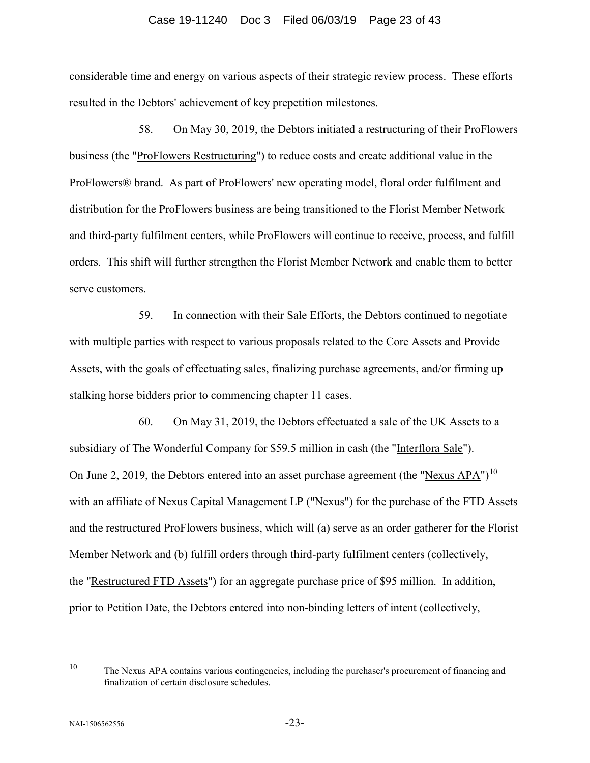# Case 19-11240 Doc 3 Filed 06/03/19 Page 23 of 43

considerable time and energy on various aspects of their strategic review process. These efforts resulted in the Debtors' achievement of key prepetition milestones.

58. On May 30, 2019, the Debtors initiated a restructuring of their ProFlowers business (the "ProFlowers Restructuring") to reduce costs and create additional value in the ProFlowers® brand. As part of ProFlowers' new operating model, floral order fulfilment and distribution for the ProFlowers business are being transitioned to the Florist Member Network and third-party fulfilment centers, while ProFlowers will continue to receive, process, and fulfill orders. This shift will further strengthen the Florist Member Network and enable them to better serve customers.

59. In connection with their Sale Efforts, the Debtors continued to negotiate with multiple parties with respect to various proposals related to the Core Assets and Provide Assets, with the goals of effectuating sales, finalizing purchase agreements, and/or firming up stalking horse bidders prior to commencing chapter 11 cases.

60. On May 31, 2019, the Debtors effectuated a sale of the UK Assets to a subsidiary of The Wonderful Company for \$59.5 million in cash (the "Interflora Sale"). On June 2, 2019, the Debtors entered into an asset purchase agreement (the "Nexus APA")<sup>[10](#page-22-0)</sup> with an affiliate of Nexus Capital Management LP ("Nexus") for the purchase of the FTD Assets and the restructured ProFlowers business, which will (a) serve as an order gatherer for the Florist Member Network and (b) fulfill orders through third-party fulfilment centers (collectively, the "Restructured FTD Assets") for an aggregate purchase price of \$95 million.In addition, prior to Petition Date, the Debtors entered into non-binding letters of intent (collectively,

<span id="page-22-0"></span> <sup>10</sup> The Nexus APA contains various contingencies, including the purchaser's procurement of financing and finalization of certain disclosure schedules.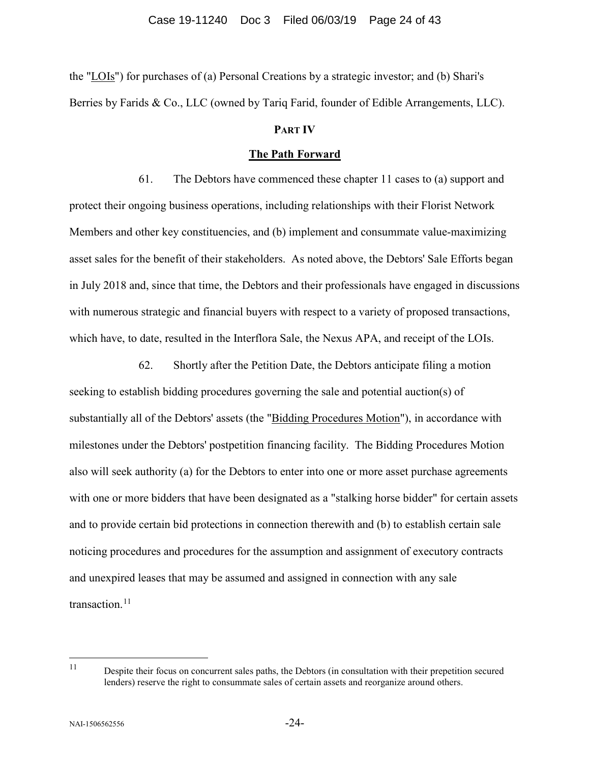the "LOIs") for purchases of (a) Personal Creations by a strategic investor; and (b) Shari's Berries by Farids & Co., LLC (owned by Tariq Farid, founder of Edible Arrangements, LLC).

# **PART IV**

# **The Path Forward**

61. The Debtors have commenced these chapter 11 cases to (a) support and protect their ongoing business operations, including relationships with their Florist Network Members and other key constituencies, and (b) implement and consummate value-maximizing asset sales for the benefit of their stakeholders. As noted above, the Debtors' Sale Efforts began in July 2018 and, since that time, the Debtors and their professionals have engaged in discussions with numerous strategic and financial buyers with respect to a variety of proposed transactions, which have, to date, resulted in the Interflora Sale, the Nexus APA, and receipt of the LOIs.

62. Shortly after the Petition Date, the Debtors anticipate filing a motion seeking to establish bidding procedures governing the sale and potential auction(s) of substantially all of the Debtors' assets (the "Bidding Procedures Motion"), in accordance with milestones under the Debtors' postpetition financing facility. The Bidding Procedures Motion also will seek authority (a) for the Debtors to enter into one or more asset purchase agreements with one or more bidders that have been designated as a "stalking horse bidder" for certain assets and to provide certain bid protections in connection therewith and (b) to establish certain sale noticing procedures and procedures for the assumption and assignment of executory contracts and unexpired leases that may be assumed and assigned in connection with any sale transaction. $11$ 

<span id="page-23-0"></span><sup>&</sup>lt;sup>11</sup> Despite their focus on concurrent sales paths, the Debtors (in consultation with their prepetition secured lenders) reserve the right to consummate sales of certain assets and reorganize around others.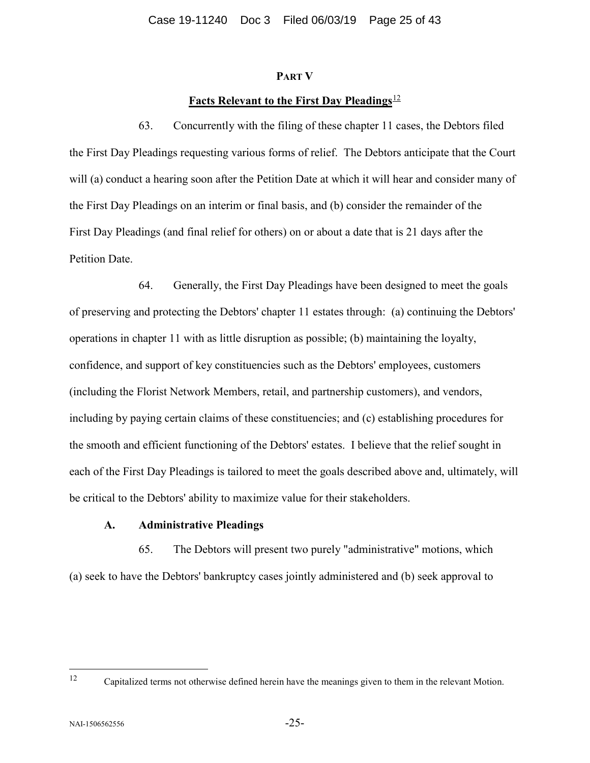## **PART V**

# Facts Relevant to the First Day Pleadings<sup>[12](#page-24-0)</sup>

63. Concurrently with the filing of these chapter 11 cases, the Debtors filed the First Day Pleadings requesting various forms of relief. The Debtors anticipate that the Court will (a) conduct a hearing soon after the Petition Date at which it will hear and consider many of the First Day Pleadings on an interim or final basis, and (b) consider the remainder of the First Day Pleadings (and final relief for others) on or about a date that is 21 days after the Petition Date.

64. Generally, the First Day Pleadings have been designed to meet the goals of preserving and protecting the Debtors' chapter 11 estates through: (a) continuing the Debtors' operations in chapter 11 with as little disruption as possible; (b) maintaining the loyalty, confidence, and support of key constituencies such as the Debtors' employees, customers (including the Florist Network Members, retail, and partnership customers), and vendors, including by paying certain claims of these constituencies; and (c) establishing procedures for the smooth and efficient functioning of the Debtors' estates. I believe that the relief sought in each of the First Day Pleadings is tailored to meet the goals described above and, ultimately, will be critical to the Debtors' ability to maximize value for their stakeholders.

# **A. Administrative Pleadings**

65. The Debtors will present two purely "administrative" motions, which (a) seek to have the Debtors' bankruptcy cases jointly administered and (b) seek approval to

<span id="page-24-0"></span> <sup>12</sup> Capitalized terms not otherwise defined herein have the meanings given to them in the relevant Motion.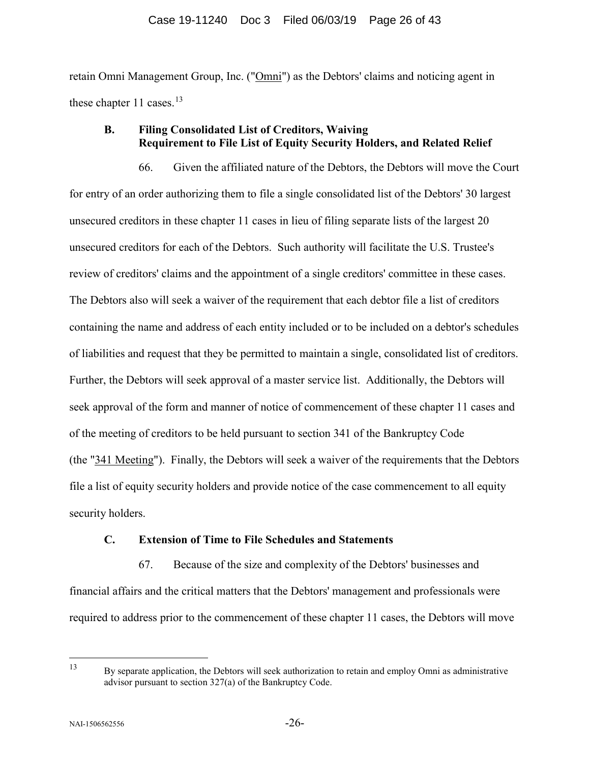retain Omni Management Group, Inc. ("Omni") as the Debtors' claims and noticing agent in these chapter 11 cases. $13$ 

# **B. Filing Consolidated List of Creditors, Waiving Requirement to File List of Equity Security Holders, and Related Relief**

66. Given the affiliated nature of the Debtors, the Debtors will move the Court for entry of an order authorizing them to file a single consolidated list of the Debtors' 30 largest unsecured creditors in these chapter 11 cases in lieu of filing separate lists of the largest 20 unsecured creditors for each of the Debtors. Such authority will facilitate the U.S. Trustee's review of creditors' claims and the appointment of a single creditors' committee in these cases. The Debtors also will seek a waiver of the requirement that each debtor file a list of creditors containing the name and address of each entity included or to be included on a debtor's schedules of liabilities and request that they be permitted to maintain a single, consolidated list of creditors. Further, the Debtors will seek approval of a master service list. Additionally, the Debtors will seek approval of the form and manner of notice of commencement of these chapter 11 cases and of the meeting of creditors to be held pursuant to section 341 of the Bankruptcy Code (the "341 Meeting"). Finally, the Debtors will seek a waiver of the requirements that the Debtors file a list of equity security holders and provide notice of the case commencement to all equity security holders.

# **C. Extension of Time to File Schedules and Statements**

67. Because of the size and complexity of the Debtors' businesses and financial affairs and the critical matters that the Debtors' management and professionals were required to address prior to the commencement of these chapter 11 cases, the Debtors will move

<span id="page-25-0"></span> <sup>13</sup> By separate application, the Debtors will seek authorization to retain and employ Omni as administrative advisor pursuant to section 327(a) of the Bankruptcy Code.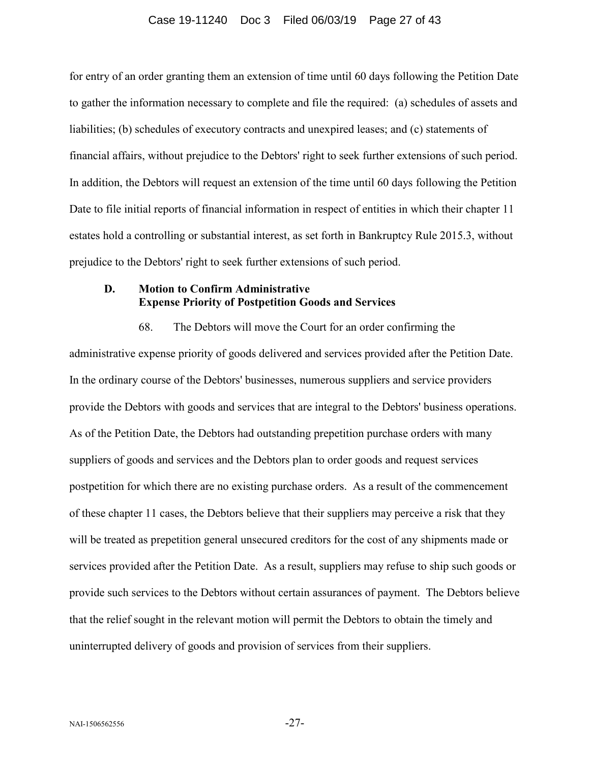# Case 19-11240 Doc 3 Filed 06/03/19 Page 27 of 43

for entry of an order granting them an extension of time until 60 days following the Petition Date to gather the information necessary to complete and file the required: (a) schedules of assets and liabilities; (b) schedules of executory contracts and unexpired leases; and (c) statements of financial affairs, without prejudice to the Debtors' right to seek further extensions of such period. In addition, the Debtors will request an extension of the time until 60 days following the Petition Date to file initial reports of financial information in respect of entities in which their chapter 11 estates hold a controlling or substantial interest, as set forth in Bankruptcy Rule 2015.3, without prejudice to the Debtors' right to seek further extensions of such period.

# **D. Motion to Confirm Administrative Expense Priority of Postpetition Goods and Services**

68. The Debtors will move the Court for an order confirming the administrative expense priority of goods delivered and services provided after the Petition Date. In the ordinary course of the Debtors' businesses, numerous suppliers and service providers provide the Debtors with goods and services that are integral to the Debtors' business operations. As of the Petition Date, the Debtors had outstanding prepetition purchase orders with many suppliers of goods and services and the Debtors plan to order goods and request services postpetition for which there are no existing purchase orders. As a result of the commencement of these chapter 11 cases, the Debtors believe that their suppliers may perceive a risk that they will be treated as prepetition general unsecured creditors for the cost of any shipments made or services provided after the Petition Date. As a result, suppliers may refuse to ship such goods or provide such services to the Debtors without certain assurances of payment. The Debtors believe that the relief sought in the relevant motion will permit the Debtors to obtain the timely and uninterrupted delivery of goods and provision of services from their suppliers.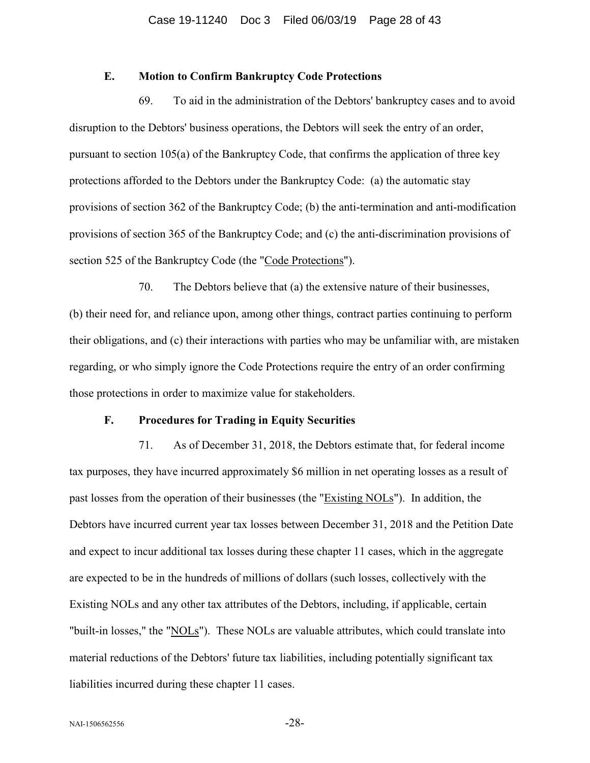# **E. Motion to Confirm Bankruptcy Code Protections**

69. To aid in the administration of the Debtors' bankruptcy cases and to avoid disruption to the Debtors' business operations, the Debtors will seek the entry of an order, pursuant to section 105(a) of the Bankruptcy Code, that confirms the application of three key protections afforded to the Debtors under the Bankruptcy Code: (a) the automatic stay provisions of section 362 of the Bankruptcy Code; (b) the anti-termination and anti-modification provisions of section 365 of the Bankruptcy Code; and (c) the anti-discrimination provisions of section 525 of the Bankruptcy Code (the "Code Protections").

70. The Debtors believe that (a) the extensive nature of their businesses, (b) their need for, and reliance upon, among other things, contract parties continuing to perform their obligations, and (c) their interactions with parties who may be unfamiliar with, are mistaken regarding, or who simply ignore the Code Protections require the entry of an order confirming those protections in order to maximize value for stakeholders.

## **F. Procedures for Trading in Equity Securities**

71. As of December 31, 2018, the Debtors estimate that, for federal income tax purposes, they have incurred approximately \$6 million in net operating losses as a result of past losses from the operation of their businesses (the "Existing NOLs"). In addition, the Debtors have incurred current year tax losses between December 31, 2018 and the Petition Date and expect to incur additional tax losses during these chapter 11 cases, which in the aggregate are expected to be in the hundreds of millions of dollars (such losses, collectively with the Existing NOLs and any other tax attributes of the Debtors, including, if applicable, certain "built-in losses," the "NOLs"). These NOLs are valuable attributes, which could translate into material reductions of the Debtors' future tax liabilities, including potentially significant tax liabilities incurred during these chapter 11 cases.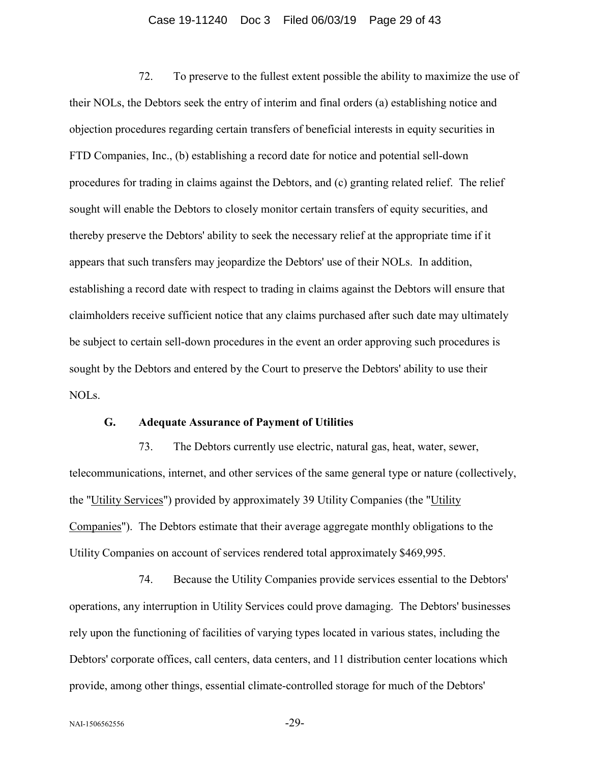# Case 19-11240 Doc 3 Filed 06/03/19 Page 29 of 43

72. To preserve to the fullest extent possible the ability to maximize the use of their NOLs, the Debtors seek the entry of interim and final orders (a) establishing notice and objection procedures regarding certain transfers of beneficial interests in equity securities in FTD Companies, Inc., (b) establishing a record date for notice and potential sell-down procedures for trading in claims against the Debtors, and (c) granting related relief. The relief sought will enable the Debtors to closely monitor certain transfers of equity securities, and thereby preserve the Debtors' ability to seek the necessary relief at the appropriate time if it appears that such transfers may jeopardize the Debtors' use of their NOLs. In addition, establishing a record date with respect to trading in claims against the Debtors will ensure that claimholders receive sufficient notice that any claims purchased after such date may ultimately be subject to certain sell-down procedures in the event an order approving such procedures is sought by the Debtors and entered by the Court to preserve the Debtors' ability to use their NOLs.

# **G. Adequate Assurance of Payment of Utilities**

73. The Debtors currently use electric, natural gas, heat, water, sewer, telecommunications, internet, and other services of the same general type or nature (collectively, the "Utility Services") provided by approximately 39 Utility Companies (the "Utility Companies"). The Debtors estimate that their average aggregate monthly obligations to the Utility Companies on account of services rendered total approximately \$469,995.

74. Because the Utility Companies provide services essential to the Debtors' operations, any interruption in Utility Services could prove damaging. The Debtors' businesses rely upon the functioning of facilities of varying types located in various states, including the Debtors' corporate offices, call centers, data centers, and 11 distribution center locations which provide, among other things, essential climate-controlled storage for much of the Debtors'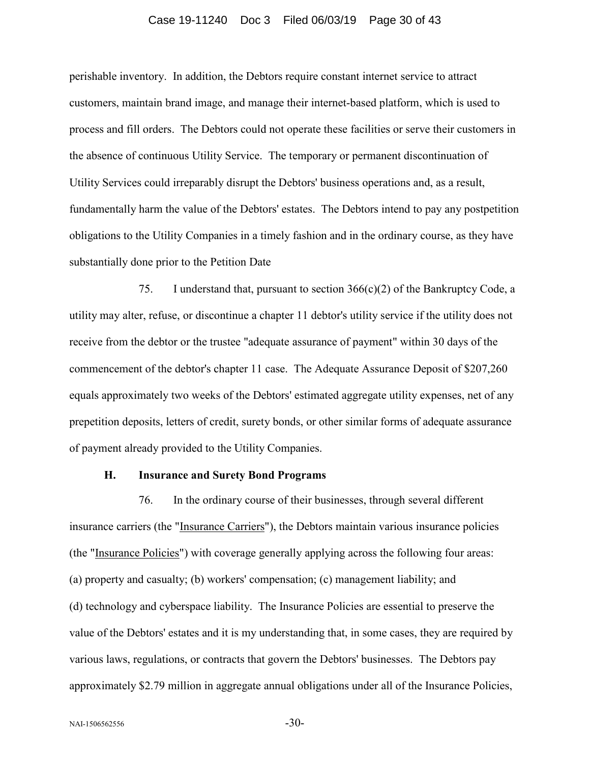# Case 19-11240 Doc 3 Filed 06/03/19 Page 30 of 43

perishable inventory. In addition, the Debtors require constant internet service to attract customers, maintain brand image, and manage their internet-based platform, which is used to process and fill orders. The Debtors could not operate these facilities or serve their customers in the absence of continuous Utility Service. The temporary or permanent discontinuation of Utility Services could irreparably disrupt the Debtors' business operations and, as a result, fundamentally harm the value of the Debtors' estates. The Debtors intend to pay any postpetition obligations to the Utility Companies in a timely fashion and in the ordinary course, as they have substantially done prior to the Petition Date

75. I understand that, pursuant to section 366(c)(2) of the Bankruptcy Code, a utility may alter, refuse, or discontinue a chapter 11 debtor's utility service if the utility does not receive from the debtor or the trustee "adequate assurance of payment" within 30 days of the commencement of the debtor's chapter 11 case. The Adequate Assurance Deposit of \$207,260 equals approximately two weeks of the Debtors' estimated aggregate utility expenses, net of any prepetition deposits, letters of credit, surety bonds, or other similar forms of adequate assurance of payment already provided to the Utility Companies.

## **H. Insurance and Surety Bond Programs**

76. In the ordinary course of their businesses, through several different insurance carriers (the "Insurance Carriers"), the Debtors maintain various insurance policies (the "Insurance Policies") with coverage generally applying across the following four areas: (a) property and casualty; (b) workers' compensation; (c) management liability; and (d) technology and cyberspace liability. The Insurance Policies are essential to preserve the value of the Debtors' estates and it is my understanding that, in some cases, they are required by various laws, regulations, or contracts that govern the Debtors' businesses. The Debtors pay approximately \$2.79 million in aggregate annual obligations under all of the Insurance Policies,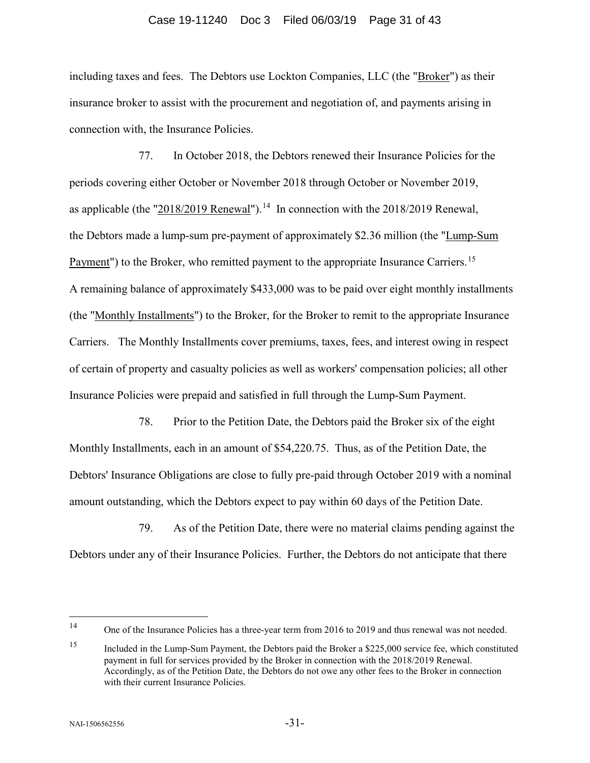#### Case 19-11240 Doc 3 Filed 06/03/19 Page 31 of 43

including taxes and fees. The Debtors use Lockton Companies, LLC (the "Broker") as their insurance broker to assist with the procurement and negotiation of, and payments arising in connection with, the Insurance Policies.

77. In October 2018, the Debtors renewed their Insurance Policies for the periods covering either October or November 2018 through October or November 2019, as applicable (the "2018/2019 Renewal").<sup>14</sup> In connection with the 2018/2019 Renewal, the Debtors made a lump-sum pre-payment of approximately \$2.36 million (the "Lump-Sum Payment") to the Broker, who remitted payment to the appropriate Insurance Carriers.<sup>15</sup> A remaining balance of approximately \$433,000 was to be paid over eight monthly installments (the "Monthly Installments") to the Broker, for the Broker to remit to the appropriate Insurance Carriers. The Monthly Installments cover premiums, taxes, fees, and interest owing in respect of certain of property and casualty policies as well as workers' compensation policies; all other Insurance Policies were prepaid and satisfied in full through the Lump-Sum Payment.

78. Prior to the Petition Date, the Debtors paid the Broker six of the eight Monthly Installments, each in an amount of \$54,220.75. Thus, as of the Petition Date, the Debtors' Insurance Obligations are close to fully pre-paid through October 2019 with a nominal amount outstanding, which the Debtors expect to pay within 60 days of the Petition Date.

79. As of the Petition Date, there were no material claims pending against the Debtors under any of their Insurance Policies. Further, the Debtors do not anticipate that there

<span id="page-30-0"></span> <sup>14</sup> One of the Insurance Policies has a three-year term from 2016 to 2019 and thus renewal was not needed.

<span id="page-30-1"></span><sup>15</sup> Included in the Lump-Sum Payment, the Debtors paid the Broker a \$225,000 service fee, which constituted payment in full for services provided by the Broker in connection with the 2018/2019 Renewal. Accordingly, as of the Petition Date, the Debtors do not owe any other fees to the Broker in connection with their current Insurance Policies.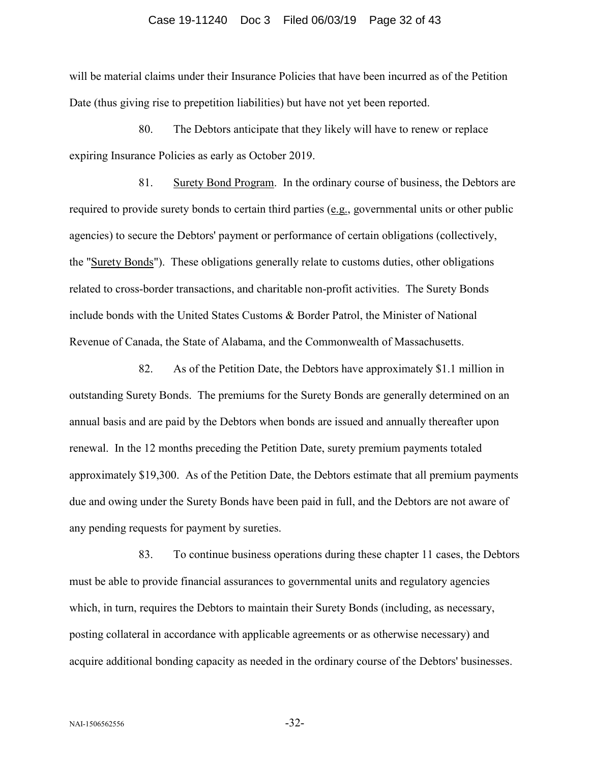#### Case 19-11240 Doc 3 Filed 06/03/19 Page 32 of 43

will be material claims under their Insurance Policies that have been incurred as of the Petition Date (thus giving rise to prepetition liabilities) but have not yet been reported.

80. The Debtors anticipate that they likely will have to renew or replace expiring Insurance Policies as early as October 2019.

81. Surety Bond Program. In the ordinary course of business, the Debtors are required to provide surety bonds to certain third parties (e.g., governmental units or other public agencies) to secure the Debtors' payment or performance of certain obligations (collectively, the "Surety Bonds"). These obligations generally relate to customs duties, other obligations related to cross-border transactions, and charitable non-profit activities. The Surety Bonds include bonds with the United States Customs & Border Patrol, the Minister of National Revenue of Canada, the State of Alabama, and the Commonwealth of Massachusetts.

82. As of the Petition Date, the Debtors have approximately \$1.1 million in outstanding Surety Bonds. The premiums for the Surety Bonds are generally determined on an annual basis and are paid by the Debtors when bonds are issued and annually thereafter upon renewal. In the 12 months preceding the Petition Date, surety premium payments totaled approximately \$19,300. As of the Petition Date, the Debtors estimate that all premium payments due and owing under the Surety Bonds have been paid in full, and the Debtors are not aware of any pending requests for payment by sureties.

83. To continue business operations during these chapter 11 cases, the Debtors must be able to provide financial assurances to governmental units and regulatory agencies which, in turn, requires the Debtors to maintain their Surety Bonds (including, as necessary, posting collateral in accordance with applicable agreements or as otherwise necessary) and acquire additional bonding capacity as needed in the ordinary course of the Debtors' businesses.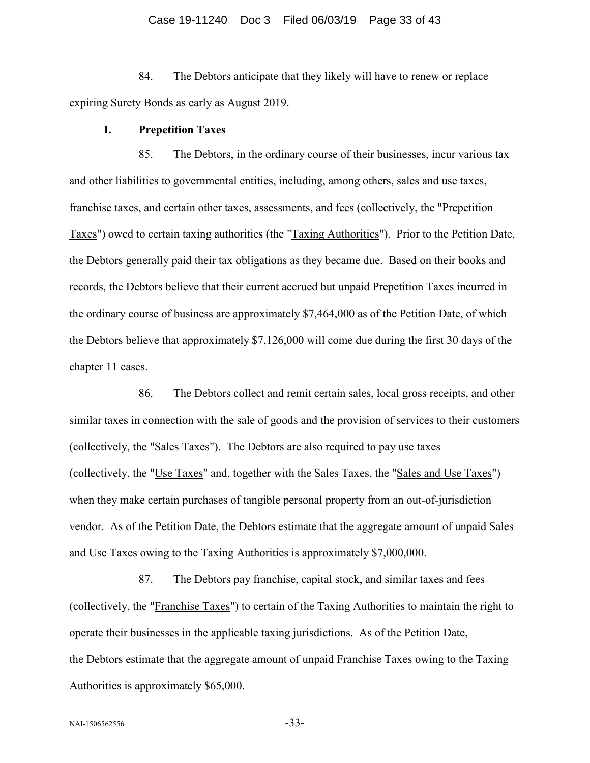#### Case 19-11240 Doc 3 Filed 06/03/19 Page 33 of 43

84. The Debtors anticipate that they likely will have to renew or replace expiring Surety Bonds as early as August 2019.

## **I. Prepetition Taxes**

85. The Debtors, in the ordinary course of their businesses, incur various tax and other liabilities to governmental entities, including, among others, sales and use taxes, franchise taxes, and certain other taxes, assessments, and fees (collectively, the "Prepetition Taxes") owed to certain taxing authorities (the "Taxing Authorities"). Prior to the Petition Date, the Debtors generally paid their tax obligations as they became due. Based on their books and records, the Debtors believe that their current accrued but unpaid Prepetition Taxes incurred in the ordinary course of business are approximately \$7,464,000 as of the Petition Date, of which the Debtors believe that approximately \$7,126,000 will come due during the first 30 days of the chapter 11 cases.

86. The Debtors collect and remit certain sales, local gross receipts, and other similar taxes in connection with the sale of goods and the provision of services to their customers (collectively, the "Sales Taxes"). The Debtors are also required to pay use taxes (collectively, the "Use Taxes" and, together with the Sales Taxes, the "Sales and Use Taxes") when they make certain purchases of tangible personal property from an out-of-jurisdiction vendor. As of the Petition Date, the Debtors estimate that the aggregate amount of unpaid Sales and Use Taxes owing to the Taxing Authorities is approximately \$7,000,000.

87. The Debtors pay franchise, capital stock, and similar taxes and fees (collectively, the "Franchise Taxes") to certain of the Taxing Authorities to maintain the right to operate their businesses in the applicable taxing jurisdictions. As of the Petition Date, the Debtors estimate that the aggregate amount of unpaid Franchise Taxes owing to the Taxing Authorities is approximately \$65,000.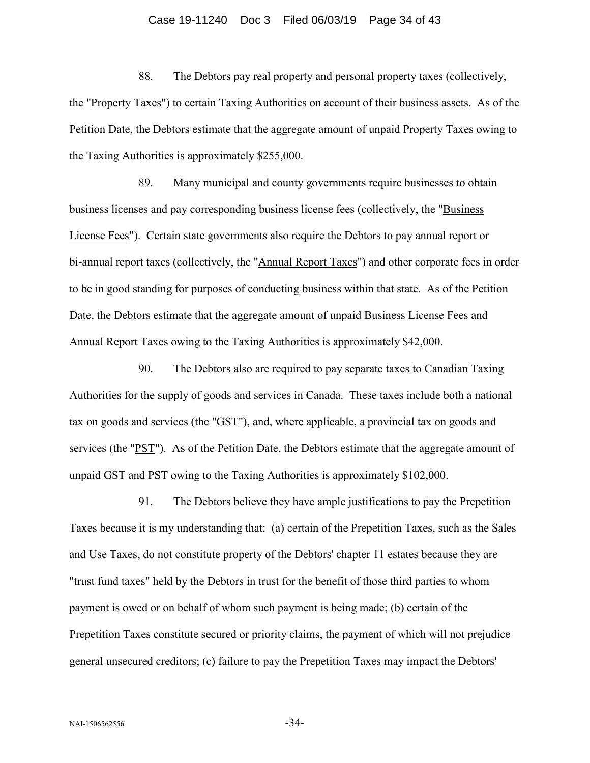# Case 19-11240 Doc 3 Filed 06/03/19 Page 34 of 43

88. The Debtors pay real property and personal property taxes (collectively, the "Property Taxes") to certain Taxing Authorities on account of their business assets. As of the Petition Date, the Debtors estimate that the aggregate amount of unpaid Property Taxes owing to the Taxing Authorities is approximately \$255,000.

89. Many municipal and county governments require businesses to obtain business licenses and pay corresponding business license fees (collectively, the "Business License Fees"). Certain state governments also require the Debtors to pay annual report or bi-annual report taxes (collectively, the "Annual Report Taxes") and other corporate fees in order to be in good standing for purposes of conducting business within that state. As of the Petition Date, the Debtors estimate that the aggregate amount of unpaid Business License Fees and Annual Report Taxes owing to the Taxing Authorities is approximately \$42,000.

90. The Debtors also are required to pay separate taxes to Canadian Taxing Authorities for the supply of goods and services in Canada. These taxes include both a national tax on goods and services (the "GST"), and, where applicable, a provincial tax on goods and services (the "PST"). As of the Petition Date, the Debtors estimate that the aggregate amount of unpaid GST and PST owing to the Taxing Authorities is approximately \$102,000.

91. The Debtors believe they have ample justifications to pay the Prepetition Taxes because it is my understanding that: (a) certain of the Prepetition Taxes, such as the Sales and Use Taxes, do not constitute property of the Debtors' chapter 11 estates because they are "trust fund taxes" held by the Debtors in trust for the benefit of those third parties to whom payment is owed or on behalf of whom such payment is being made; (b) certain of the Prepetition Taxes constitute secured or priority claims, the payment of which will not prejudice general unsecured creditors; (c) failure to pay the Prepetition Taxes may impact the Debtors'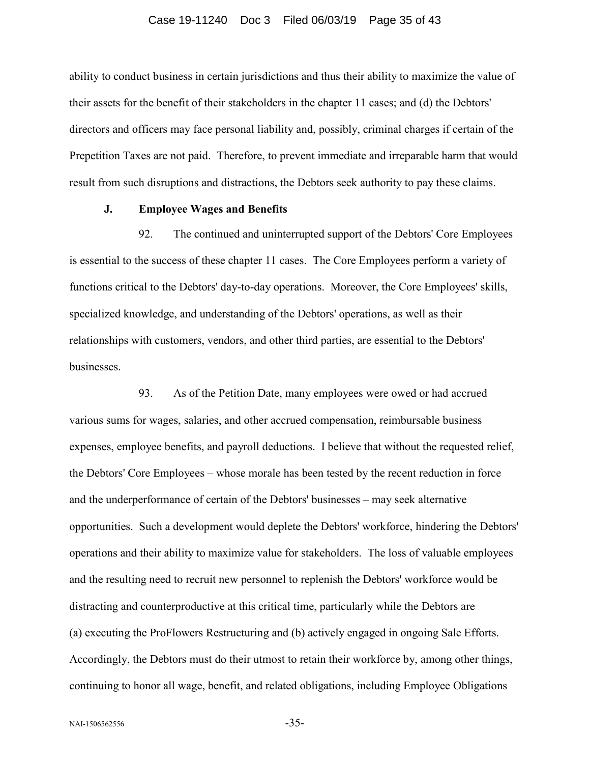#### Case 19-11240 Doc 3 Filed 06/03/19 Page 35 of 43

ability to conduct business in certain jurisdictions and thus their ability to maximize the value of their assets for the benefit of their stakeholders in the chapter 11 cases; and (d) the Debtors' directors and officers may face personal liability and, possibly, criminal charges if certain of the Prepetition Taxes are not paid. Therefore, to prevent immediate and irreparable harm that would result from such disruptions and distractions, the Debtors seek authority to pay these claims.

# **J. Employee Wages and Benefits**

92. The continued and uninterrupted support of the Debtors' Core Employees is essential to the success of these chapter 11 cases. The Core Employees perform a variety of functions critical to the Debtors' day-to-day operations. Moreover, the Core Employees' skills, specialized knowledge, and understanding of the Debtors' operations, as well as their relationships with customers, vendors, and other third parties, are essential to the Debtors' businesses.

93. As of the Petition Date, many employees were owed or had accrued various sums for wages, salaries, and other accrued compensation, reimbursable business expenses, employee benefits, and payroll deductions. I believe that without the requested relief, the Debtors' Core Employees – whose morale has been tested by the recent reduction in force and the underperformance of certain of the Debtors' businesses – may seek alternative opportunities. Such a development would deplete the Debtors' workforce, hindering the Debtors' operations and their ability to maximize value for stakeholders. The loss of valuable employees and the resulting need to recruit new personnel to replenish the Debtors' workforce would be distracting and counterproductive at this critical time, particularly while the Debtors are (a) executing the ProFlowers Restructuring and (b) actively engaged in ongoing Sale Efforts. Accordingly, the Debtors must do their utmost to retain their workforce by, among other things, continuing to honor all wage, benefit, and related obligations, including Employee Obligations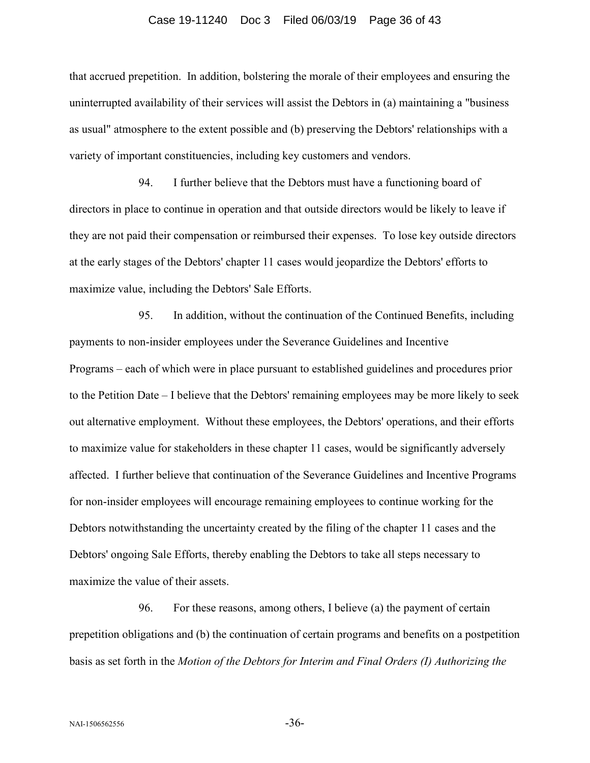# Case 19-11240 Doc 3 Filed 06/03/19 Page 36 of 43

that accrued prepetition. In addition, bolstering the morale of their employees and ensuring the uninterrupted availability of their services will assist the Debtors in (a) maintaining a "business as usual" atmosphere to the extent possible and (b) preserving the Debtors' relationships with a variety of important constituencies, including key customers and vendors.

94. I further believe that the Debtors must have a functioning board of directors in place to continue in operation and that outside directors would be likely to leave if they are not paid their compensation or reimbursed their expenses. To lose key outside directors at the early stages of the Debtors' chapter 11 cases would jeopardize the Debtors' efforts to maximize value, including the Debtors' Sale Efforts.

95. In addition, without the continuation of the Continued Benefits, including payments to non-insider employees under the Severance Guidelines and Incentive Programs – each of which were in place pursuant to established guidelines and procedures prior to the Petition Date – I believe that the Debtors' remaining employees may be more likely to seek out alternative employment. Without these employees, the Debtors' operations, and their efforts to maximize value for stakeholders in these chapter 11 cases, would be significantly adversely affected. I further believe that continuation of the Severance Guidelines and Incentive Programs for non-insider employees will encourage remaining employees to continue working for the Debtors notwithstanding the uncertainty created by the filing of the chapter 11 cases and the Debtors' ongoing Sale Efforts, thereby enabling the Debtors to take all steps necessary to maximize the value of their assets.

96. For these reasons, among others, I believe (a) the payment of certain prepetition obligations and (b) the continuation of certain programs and benefits on a postpetition basis as set forth in the *Motion of the Debtors for Interim and Final Orders (I) Authorizing the*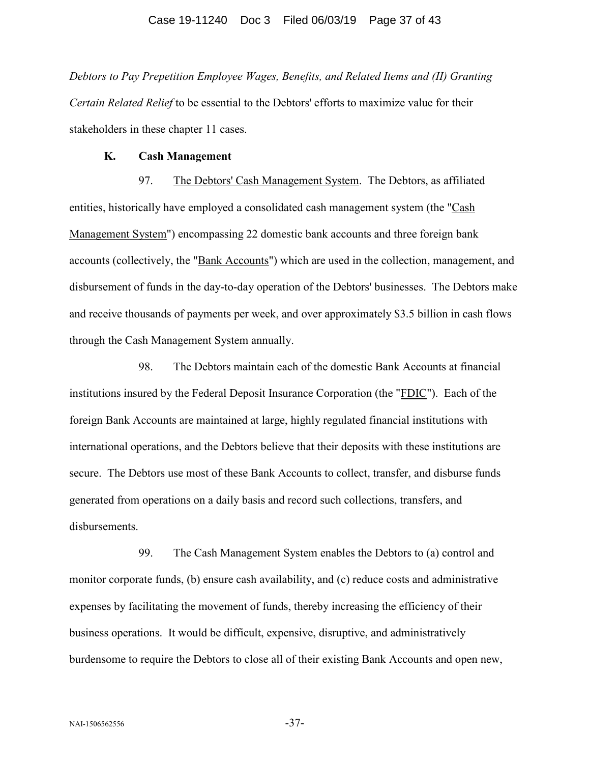*Debtors to Pay Prepetition Employee Wages, Benefits, and Related Items and (II) Granting Certain Related Relief* to be essential to the Debtors' efforts to maximize value for their stakeholders in these chapter 11 cases.

## **K. Cash Management**

97. The Debtors' Cash Management System. The Debtors, as affiliated entities, historically have employed a consolidated cash management system (the "Cash Management System") encompassing 22 domestic bank accounts and three foreign bank accounts (collectively, the "Bank Accounts") which are used in the collection, management, and disbursement of funds in the day-to-day operation of the Debtors' businesses. The Debtors make and receive thousands of payments per week, and over approximately \$3.5 billion in cash flows through the Cash Management System annually.

98. The Debtors maintain each of the domestic Bank Accounts at financial institutions insured by the Federal Deposit Insurance Corporation (the "FDIC"). Each of the foreign Bank Accounts are maintained at large, highly regulated financial institutions with international operations, and the Debtors believe that their deposits with these institutions are secure. The Debtors use most of these Bank Accounts to collect, transfer, and disburse funds generated from operations on a daily basis and record such collections, transfers, and disbursements.

99. The Cash Management System enables the Debtors to (a) control and monitor corporate funds, (b) ensure cash availability, and (c) reduce costs and administrative expenses by facilitating the movement of funds, thereby increasing the efficiency of their business operations. It would be difficult, expensive, disruptive, and administratively burdensome to require the Debtors to close all of their existing Bank Accounts and open new,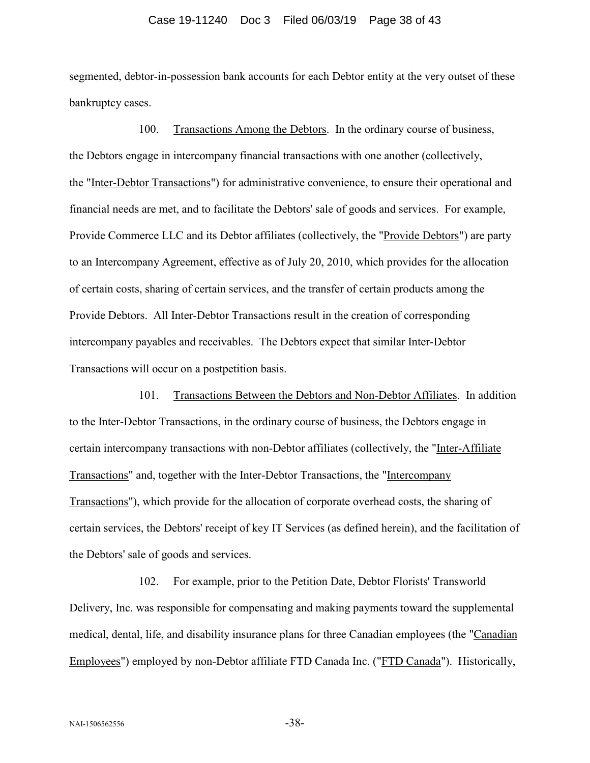#### Case 19-11240 Doc 3 Filed 06/03/19 Page 38 of 43

segmented, debtor-in-possession bank accounts for each Debtor entity at the very outset of these bankruptcy cases.

100. Transactions Among the Debtors. In the ordinary course of business, the Debtors engage in intercompany financial transactions with one another (collectively, the "Inter-Debtor Transactions") for administrative convenience, to ensure their operational and financial needs are met, and to facilitate the Debtors' sale of goods and services. For example, Provide Commerce LLC and its Debtor affiliates (collectively, the "Provide Debtors") are party to an Intercompany Agreement, effective as of July 20, 2010, which provides for the allocation of certain costs, sharing of certain services, and the transfer of certain products among the Provide Debtors. All Inter-Debtor Transactions result in the creation of corresponding intercompany payables and receivables. The Debtors expect that similar Inter-Debtor Transactions will occur on a postpetition basis.

101. Transactions Between the Debtors and Non-Debtor Affiliates. In addition to the Inter-Debtor Transactions, in the ordinary course of business, the Debtors engage in certain intercompany transactions with non-Debtor affiliates (collectively, the "Inter-Affiliate Transactions" and, together with the Inter-Debtor Transactions, the "Intercompany Transactions"), which provide for the allocation of corporate overhead costs, the sharing of certain services, the Debtors' receipt of key IT Services (as defined herein), and the facilitation of the Debtors' sale of goods and services.

102. For example, prior to the Petition Date, Debtor Florists' Transworld Delivery, Inc. was responsible for compensating and making payments toward the supplemental medical, dental, life, and disability insurance plans for three Canadian employees (the "Canadian Employees") employed by non-Debtor affiliate FTD Canada Inc. ("FTD Canada"). Historically,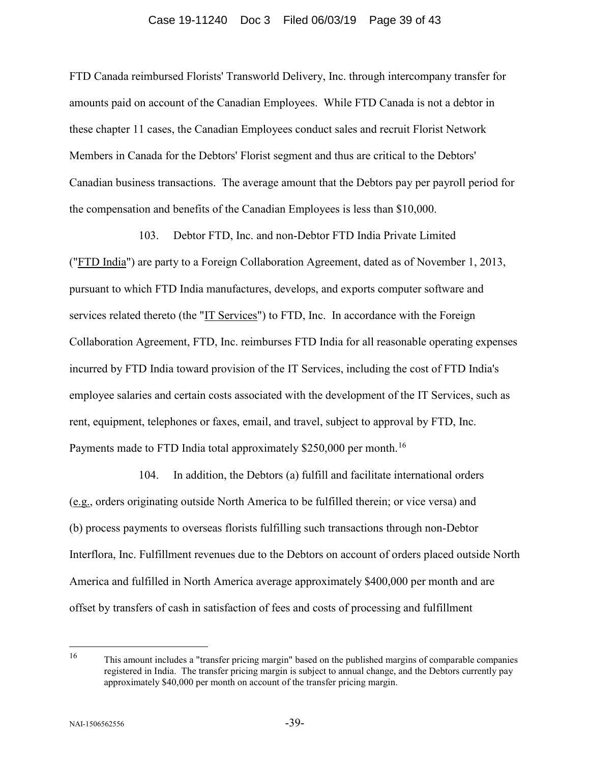#### Case 19-11240 Doc 3 Filed 06/03/19 Page 39 of 43

FTD Canada reimbursed Florists' Transworld Delivery, Inc. through intercompany transfer for amounts paid on account of the Canadian Employees. While FTD Canada is not a debtor in these chapter 11 cases, the Canadian Employees conduct sales and recruit Florist Network Members in Canada for the Debtors' Florist segment and thus are critical to the Debtors' Canadian business transactions. The average amount that the Debtors pay per payroll period for the compensation and benefits of the Canadian Employees is less than \$10,000.

103. Debtor FTD, Inc. and non-Debtor FTD India Private Limited ("FTD India") are party to a Foreign Collaboration Agreement, dated as of November 1, 2013, pursuant to which FTD India manufactures, develops, and exports computer software and services related thereto (the "IT Services") to FTD, Inc. In accordance with the Foreign Collaboration Agreement, FTD, Inc. reimburses FTD India for all reasonable operating expenses incurred by FTD India toward provision of the IT Services, including the cost of FTD India's employee salaries and certain costs associated with the development of the IT Services, such as rent, equipment, telephones or faxes, email, and travel, subject to approval by FTD, Inc. Payments made to FTD India total approximately \$250,000 per month.<sup>16</sup>

104. In addition, the Debtors (a) fulfill and facilitate international orders (e.g., orders originating outside North America to be fulfilled therein; or vice versa) and (b) process payments to overseas florists fulfilling such transactions through non-Debtor Interflora, Inc. Fulfillment revenues due to the Debtors on account of orders placed outside North America and fulfilled in North America average approximately \$400,000 per month and are offset by transfers of cash in satisfaction of fees and costs of processing and fulfillment

<span id="page-38-0"></span> <sup>16</sup> This amount includes a "transfer pricing margin" based on the published margins of comparable companies registered in India. The transfer pricing margin is subject to annual change, and the Debtors currently pay approximately \$40,000 per month on account of the transfer pricing margin.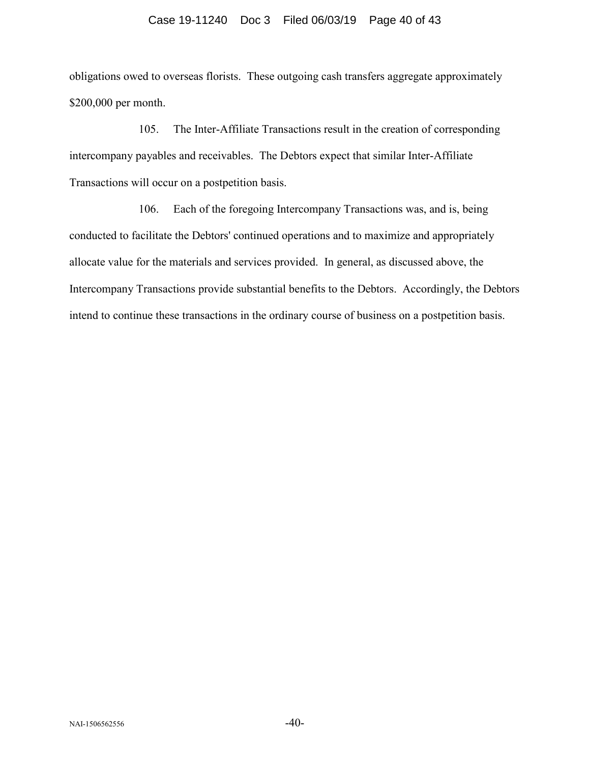obligations owed to overseas florists. These outgoing cash transfers aggregate approximately \$200,000 per month.

105. The Inter-Affiliate Transactions result in the creation of corresponding intercompany payables and receivables. The Debtors expect that similar Inter-Affiliate Transactions will occur on a postpetition basis.

106. Each of the foregoing Intercompany Transactions was, and is, being conducted to facilitate the Debtors' continued operations and to maximize and appropriately allocate value for the materials and services provided. In general, as discussed above, the Intercompany Transactions provide substantial benefits to the Debtors. Accordingly, the Debtors intend to continue these transactions in the ordinary course of business on a postpetition basis.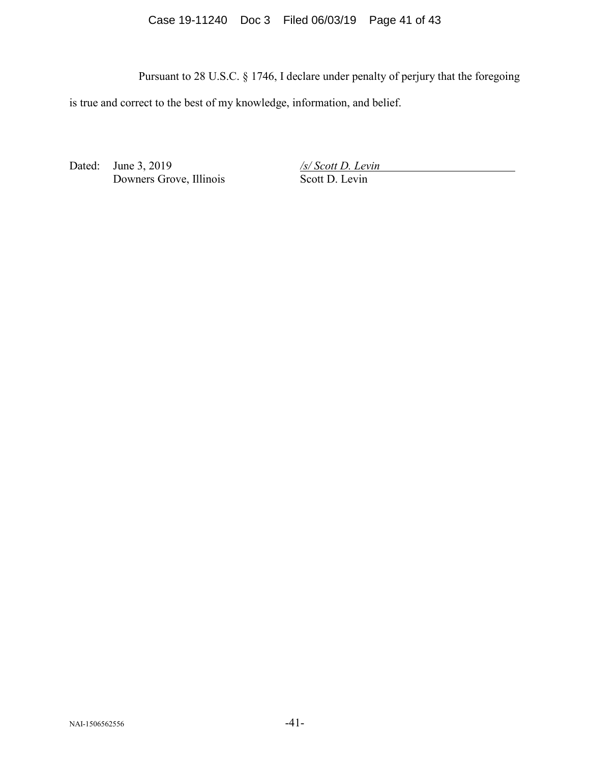Case 19-11240 Doc 3 Filed 06/03/19 Page 41 of 43

Pursuant to 28 U.S.C. § 1746, I declare under penalty of perjury that the foregoing

is true and correct to the best of my knowledge, information, and belief.

Dated: June 3, 2019 Downers Grove, Illinois */s/ Scott D. Levin* Scott D. Levin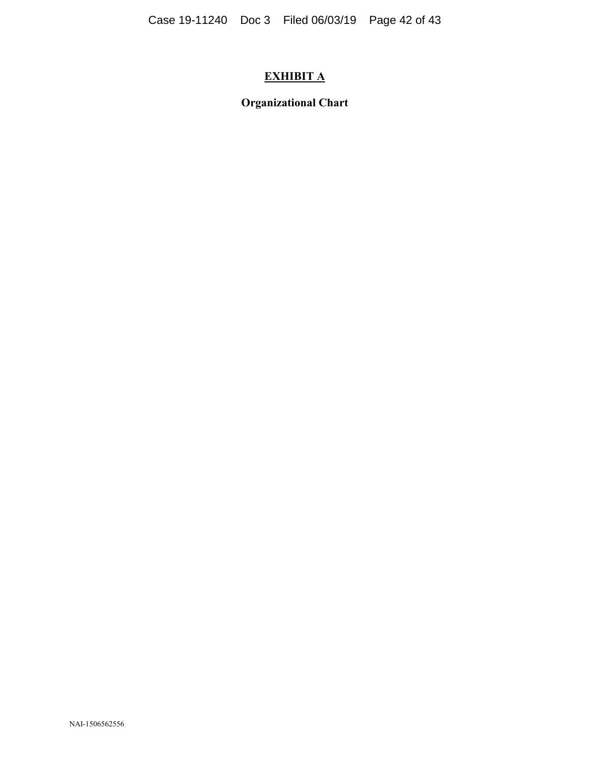# **EXHIBIT A**

**Organizational Chart**